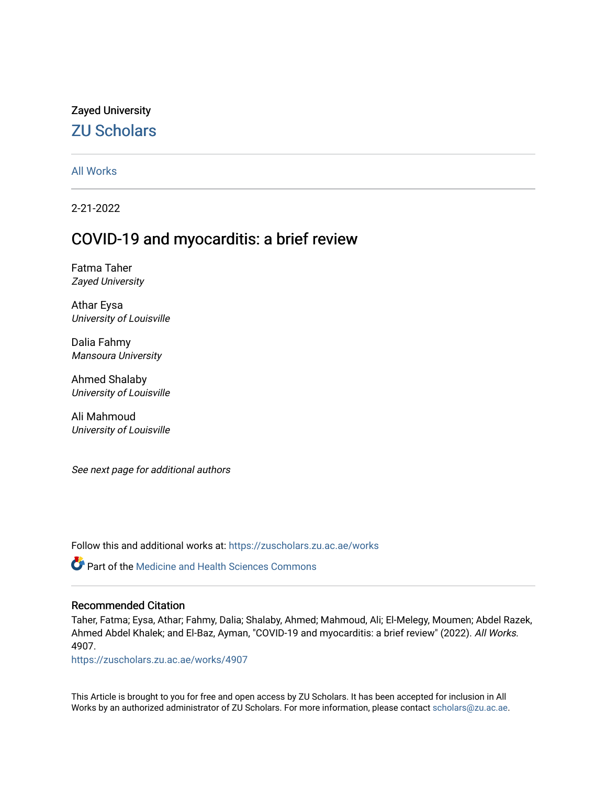## Zayed University [ZU Scholars](https://zuscholars.zu.ac.ae/)

### [All Works](https://zuscholars.zu.ac.ae/works)

2-21-2022

# COVID-19 and myocarditis: a brief review

Fatma Taher Zayed University

Athar Eysa University of Louisville

Dalia Fahmy Mansoura University

Ahmed Shalaby University of Louisville

Ali Mahmoud University of Louisville

See next page for additional authors

Follow this and additional works at: [https://zuscholars.zu.ac.ae/works](https://zuscholars.zu.ac.ae/works?utm_source=zuscholars.zu.ac.ae%2Fworks%2F4907&utm_medium=PDF&utm_campaign=PDFCoverPages)

Part of the [Medicine and Health Sciences Commons](http://network.bepress.com/hgg/discipline/648?utm_source=zuscholars.zu.ac.ae%2Fworks%2F4907&utm_medium=PDF&utm_campaign=PDFCoverPages) 

#### Recommended Citation

Taher, Fatma; Eysa, Athar; Fahmy, Dalia; Shalaby, Ahmed; Mahmoud, Ali; El-Melegy, Moumen; Abdel Razek, Ahmed Abdel Khalek; and El-Baz, Ayman, "COVID-19 and myocarditis: a brief review" (2022). All Works. 4907.

[https://zuscholars.zu.ac.ae/works/4907](https://zuscholars.zu.ac.ae/works/4907?utm_source=zuscholars.zu.ac.ae%2Fworks%2F4907&utm_medium=PDF&utm_campaign=PDFCoverPages)

This Article is brought to you for free and open access by ZU Scholars. It has been accepted for inclusion in All Works by an authorized administrator of ZU Scholars. For more information, please contact [scholars@zu.ac.ae](mailto:scholars@zu.ac.ae).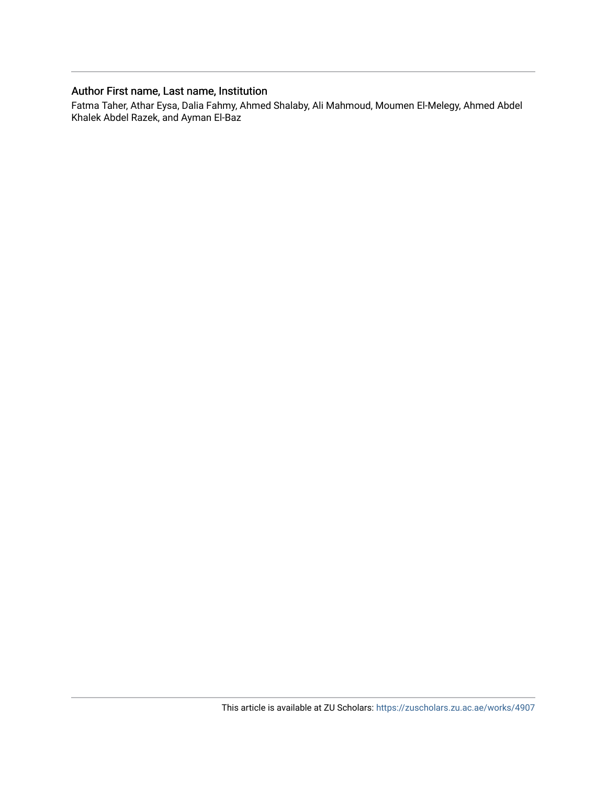### Author First name, Last name, Institution

Fatma Taher, Athar Eysa, Dalia Fahmy, Ahmed Shalaby, Ali Mahmoud, Moumen El-Melegy, Ahmed Abdel Khalek Abdel Razek, and Ayman El-Baz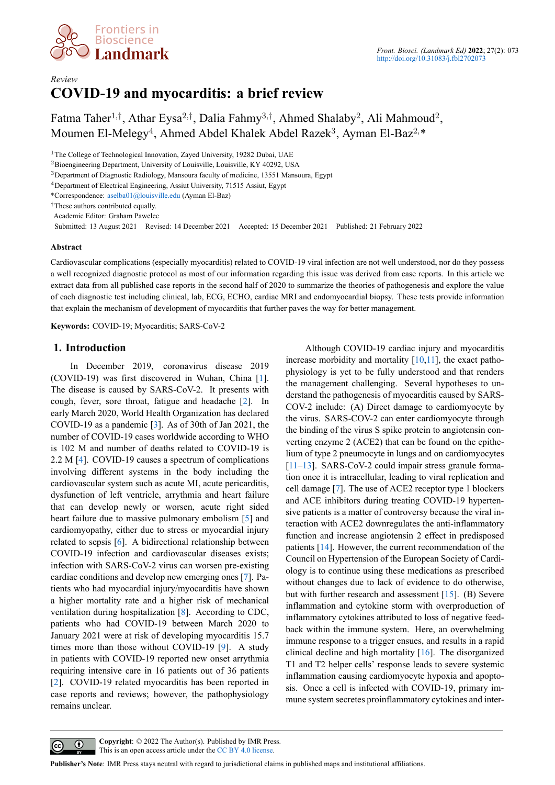

## *Review* **COVID-19 and myocarditis: a brief review**

Fatma Taher<sup>1</sup>*,†* , Athar Eysa<sup>2</sup>*,†* , Dalia Fahmy<sup>3</sup>*,†* , Ahmed Shalaby<sup>2</sup> , Ali Mahmoud<sup>2</sup> , Moumen El-Melegy<sup>4</sup>, Ahmed Abdel Khalek Abdel Razek<sup>3</sup>, Ayman El-Baz<sup>2,</sup>\*

<sup>1</sup>The College of Technological Innovation, Zayed University, 19282 Dubai, UAE

<sup>2</sup>Bioengineering Department, University of Louisville, Louisville, KY 40292, USA

<sup>3</sup>Department of Diagnostic Radiology, Mansoura faculty of medicine, 13551 Mansoura, Egypt

<sup>4</sup>Department of Electrical Engineering, Assiut University, 71515 Assiut, Egypt

\*Correspondence: aselba01@louisville.edu (Ayman El-Baz)

*†*These authors contributed equally.

Academic Editor: Graham Pawelec

Submitted: 13 August 2021 Revised: 14 December 2021 Accepted: 15 December 2021 Published: 21 February 2022

#### **Abstract**

Cardiovascular complications (especially myocarditis) related to COVID-19 viral infection are not well understood, nor do they possess a well recognized diagnostic protocol as most of our information regarding this issue was derived from case reports. In this article we extract data from all published case reports in the second half of 2020 to summarize the theories of pathogenesis and explore the value of each diagnostic test including clinical, lab, ECG, ECHO, cardiac MRI and endomyocardial biopsy. These tests provide information that explain the mechanism of development of myocarditis that further paves the way for better management.

**Keywords:** COVID-19; Myocarditis; SARS-CoV-2

#### **1. Introduction**

In December 2019, coronavirus disease 2019 (COVID-19) was first discovered in Wuhan, China[[1\]](#page-18-0). The disease is caused by SARS-CoV-2. It presents with cough, fever, sore throat, fatigue and headache[[2\]](#page-18-1). In early March 2020, World Health Organization has declared COVID-19 as a pandemic[[3\]](#page-18-2). As of 30th of Jan 2021, the number of COVID-19 cases worldwide according to WHO is 102 M and number of deaths related to COVID-19 is 2.2 M [\[4](#page-18-3)]. COVID-19 causes a spectrum of complications involving different systems in the body including the cardiovascular system such as acute MI, acute pericarditis, dysfunction of left ventricle, arrythmia and heart failure that can develop newly or worsen, acute right sided heartfailure due to massive pulmonary embolism [[5\]](#page-18-4) and cardiomyopathy, either due to stress or myocardial injury related to sepsis[[6\]](#page-18-5). A bidirectional relationship between COVID-19 infection and cardiovascular diseases exists; infection with SARS-CoV-2 virus can worsen pre-existing cardiac conditions and develop new emerging ones [\[7](#page-18-6)]. Patients who had myocardial injury/myocarditis have shown a higher mortality rate and a higher risk of mechanical ventilation during hospitalization [\[8](#page-18-7)]. According to CDC, patients who had COVID-19 between March 2020 to January 2021 were at risk of developing myocarditis 15.7 times more than those without COVID-19 [\[9](#page-18-8)]. A study in patients with COVID-19 reported new onset arrythmia requiring intensive care in 16 patients out of 36 patients [[2\]](#page-18-1). COVID-19 related myocarditis has been reported in case reports and reviews; however, the pathophysiology remains unclear.

Although COVID-19 cardiac injury and myocarditis increase morbidity and mortality  $[10,11]$  $[10,11]$  $[10,11]$ , the exact pathophysiology is yet to be fully understood and that renders the management challenging. Several hypotheses to understand the pathogenesis of myocarditis caused by SARS-COV-2 include: (A) Direct damage to cardiomyocyte by the virus. SARS-COV-2 can enter cardiomyocyte through the binding of the virus S spike protein to angiotensin converting enzyme 2 (ACE2) that can be found on the epithelium of type 2 pneumocyte in lungs and on cardiomyocytes [[11](#page-19-1)[–13](#page-19-2)]. SARS-CoV-2 could impair stress granule formation once it is intracellular, leading to viral replication and cell damage[[7\]](#page-18-6). The use of ACE2 receptor type 1 blockers and ACE inhibitors during treating COVID-19 hypertensive patients is a matter of controversy because the viral interaction with ACE2 downregulates the anti-inflammatory function and increase angiotensin 2 effect in predisposed patients [\[14](#page-19-3)]. However, the current recommendation of the Council on Hypertension of the European Society of Cardiology is to continue using these medications as prescribed without changes due to lack of evidence to do otherwise, but with further research and assessment [\[15\]](#page-19-4). (B) Severe inflammation and cytokine storm with overproduction of inflammatory cytokines attributed to loss of negative feedback within the immune system. Here, an overwhelming immune response to a trigger ensues, and results in a rapid clinical decline and high mortality [\[16](#page-19-5)]. The disorganized T1 and T2 helper cells' response leads to severe systemic inflammation causing cardiomyocyte hypoxia and apoptosis. Once a cell is infected with COVID-19, primary immune system secretes proinflammatory cytokines and inter-

 $\odot$  $\left( \operatorname*{cc}\right)$ 

**Copyright**: © 2022 The Author(s). Published by IMR Press. This is an open access article under the [CC BY 4.0 license.](https://creativecommons.org/licenses/by/4.0/)

**Publisher's Note**: IMR Press stays neutral with regard to jurisdictional claims in published maps and institutional affiliations.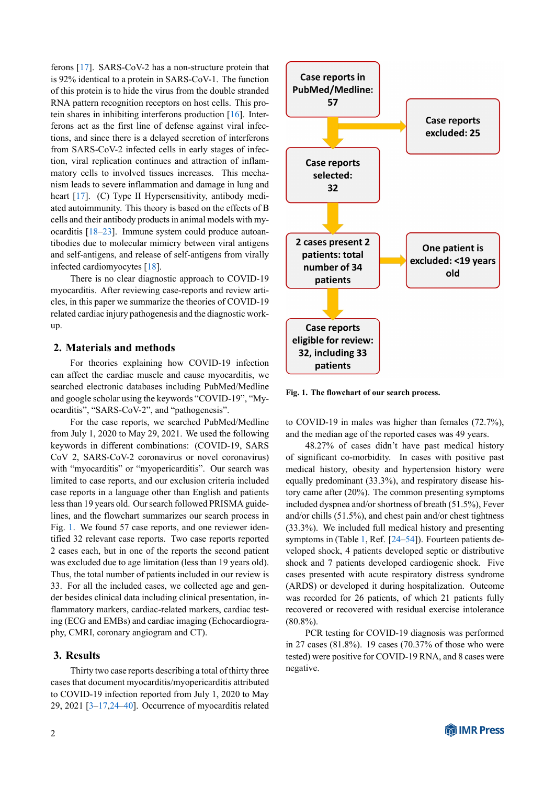ferons[[17\]](#page-19-6). SARS-CoV-2 has a non-structure protein that is 92% identical to a protein in SARS-CoV-1. The function of this protein is to hide the virus from the double stranded RNA pattern recognition receptors on host cells. This protein shares in inhibiting interferons production[[16\]](#page-19-5). Interferons act as the first line of defense against viral infections, and since there is a delayed secretion of interferons from SARS-CoV-2 infected cells in early stages of infection, viral replication continues and attraction of inflammatory cells to involved tissues increases. This mechanism leads to severe inflammation and damage in lung and heart [\[17](#page-19-6)]. (C) Type II Hypersensitivity, antibody mediated autoimmunity. This theory is based on the effects of B cells and their antibody products in animal models with myocarditis [\[18](#page-19-7)[–23](#page-19-8)]. Immune system could produce autoantibodies due to molecular mimicry between viral antigens and self-antigens, and release of self-antigens from virally infected cardiomyocytes[[18\]](#page-19-7).

There is no clear diagnostic approach to COVID-19 myocarditis. After reviewing case-reports and review articles, in this paper we summarize the theories of COVID-19 related cardiac injury pathogenesis and the diagnostic workup.

### **2. Materials and methods**

For theories explaining how COVID-19 infection can affect the cardiac muscle and cause myocarditis, we searched electronic databases including PubMed/Medline and google scholar using the keywords "COVID-19", "Myocarditis", "SARS-CoV-2", and "pathogenesis".

For the case reports, we searched PubMed/Medline from July 1, 2020 to May 29, 2021. We used the following keywords in different combinations: (COVID-19, SARS CoV 2, SARS-CoV-2 coronavirus or novel coronavirus) with "myocarditis" or "myopericarditis". Our search was limited to case reports, and our exclusion criteria included case reports in a language other than English and patients less than 19 years old. Our search followed PRISMA guidelines, and the flowchart summarizes our search process in Fig. [1](#page-3-0). We found 57 case reports, and one reviewer identified 32 relevant case reports. Two case reports reported 2 cases each, but in one of the reports the second patient was excluded due to age limitation (less than 19 years old). Thus, the total number of patients included in our review is 33. For all the included cases, we collected age and gender besides clinical data including clinical presentation, inflammatory markers, cardiac-related markers, cardiac testing (ECG and EMBs) and cardiac imaging (Echocardiography, CMRI, coronary angiogram and CT).

#### **3. Results**

Thirty two case reports describing a total of thirty three cases that document myocarditis/myopericarditis attributed to COVID-19 infection reported from July 1, 2020 to May 29, 2021 [\[3](#page-18-2)[–17](#page-19-6),[24–](#page-19-9)[40\]](#page-19-10). Occurrence of myocarditis related

<span id="page-3-0"></span>

**Fig. 1. The flowchart of our search process.**

to COVID-19 in males was higher than females (72.7%), and the median age of the reported cases was 49 years.

48.27% of cases didn't have past medical history of significant co-morbidity. In cases with positive past medical history, obesity and hypertension history were equally predominant (33.3%), and respiratory disease history came after (20%). The common presenting symptoms included dyspnea and/or shortness of breath (51.5%), Fever and/or chills (51.5%), and chest pain and/or chest tightness (33.3%). We included full medical history and presenting symptoms in (Table [1](#page-6-0), Ref. [\[24](#page-19-9)[–54](#page-20-0)]). Fourteen patients developed shock, 4 patients developed septic or distributive shock and 7 patients developed cardiogenic shock. Five cases presented with acute respiratory distress syndrome (ARDS) or developed it during hospitalization. Outcome was recorded for 26 patients, of which 21 patients fully recovered or recovered with residual exercise intolerance  $(80.8\%)$ .

PCR testing for COVID-19 diagnosis was performed in 27 cases (81.8%). 19 cases (70.37% of those who were tested) were positive for COVID-19 RNA, and 8 cases were negative.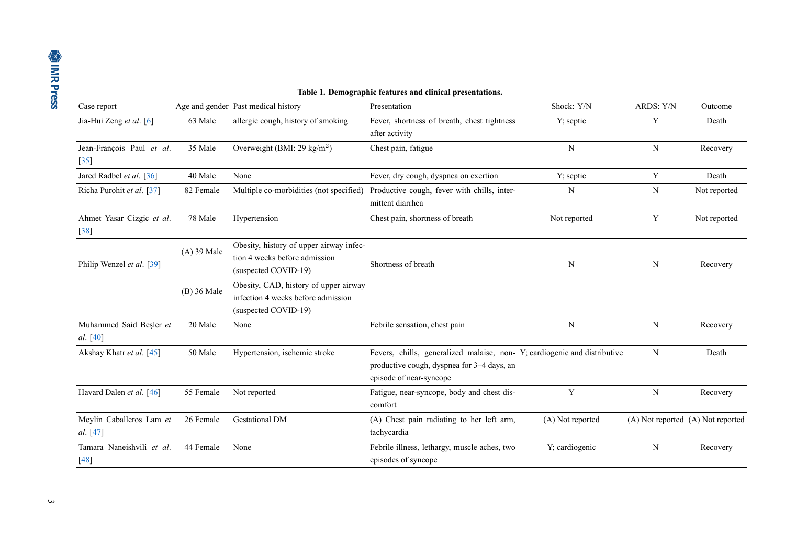|                                                                                                                                                           |               |                                                                                                     | Table 1. Demographic features and clinical presentations.                                                                                         |                  |           |                                   |
|-----------------------------------------------------------------------------------------------------------------------------------------------------------|---------------|-----------------------------------------------------------------------------------------------------|---------------------------------------------------------------------------------------------------------------------------------------------------|------------------|-----------|-----------------------------------|
| Case report                                                                                                                                               |               | Age and gender Past medical history                                                                 | Presentation                                                                                                                                      | Shock: Y/N       | ARDS: Y/N | Outcome                           |
| Jia-Hui Zeng et al. [6]                                                                                                                                   | 63 Male       | allergic cough, history of smoking                                                                  | Fever, shortness of breath, chest tightness<br>after activity                                                                                     | Y; septic        | Y         | Death                             |
| Jean-François Paul et al.<br>$[35]$                                                                                                                       | 35 Male       | Overweight (BMI: 29 kg/m <sup>2</sup> )                                                             | Chest pain, fatigue                                                                                                                               | $\mathbf N$      | N         | Recovery                          |
| Jared Radbel et al. [36]                                                                                                                                  | 40 Male       | None                                                                                                | Fever, dry cough, dyspnea on exertion                                                                                                             | Y; septic        | Y         | Death                             |
| Richa Purohit et al. [37]<br>Multiple co-morbidities (not specified)<br>N<br>82 Female<br>Productive cough, fever with chills, inter-<br>mittent diarrhea |               |                                                                                                     | N                                                                                                                                                 | Not reported     |           |                                   |
| Ahmet Yasar Cizgic et al.<br>$[38]$                                                                                                                       | 78 Male       | Hypertension                                                                                        | Chest pain, shortness of breath                                                                                                                   | Not reported     | Y         | Not reported                      |
| Philip Wenzel et al. [39]                                                                                                                                 | $(A)$ 39 Male | Obesity, history of upper airway infec-<br>tion 4 weeks before admission<br>(suspected COVID-19)    | Shortness of breath                                                                                                                               | N                | N         | Recovery                          |
|                                                                                                                                                           | (B) 36 Male   | Obesity, CAD, history of upper airway<br>infection 4 weeks before admission<br>(suspected COVID-19) |                                                                                                                                                   |                  |           |                                   |
| Muhammed Said Beşler et<br>al. [40]                                                                                                                       | 20 Male       | None                                                                                                | Febrile sensation, chest pain                                                                                                                     | $\mathbf N$      | N         | Recovery                          |
| Akshay Khatr et al. [45]                                                                                                                                  | 50 Male       | Hypertension, ischemic stroke                                                                       | Fevers, chills, generalized malaise, non-Y; cardiogenic and distributive<br>productive cough, dyspnea for 3-4 days, an<br>episode of near-syncope |                  | N         | Death                             |
| Havard Dalen et al. [46]                                                                                                                                  | 55 Female     | Not reported                                                                                        | Fatigue, near-syncope, body and chest dis-<br>comfort                                                                                             | Y                | ${\bf N}$ | Recovery                          |
| Meylin Caballeros Lam et<br>al. [47]                                                                                                                      | 26 Female     | <b>Gestational DM</b>                                                                               | (A) Chest pain radiating to her left arm,<br>tachycardia                                                                                          | (A) Not reported |           | (A) Not reported (A) Not reported |
| Tamara Naneishvili et al.<br>$[48]$                                                                                                                       | 44 Female     | None                                                                                                | Febrile illness, lethargy, muscle aches, two<br>episodes of syncope                                                                               | Y; cardiogenic   | N         | Recovery                          |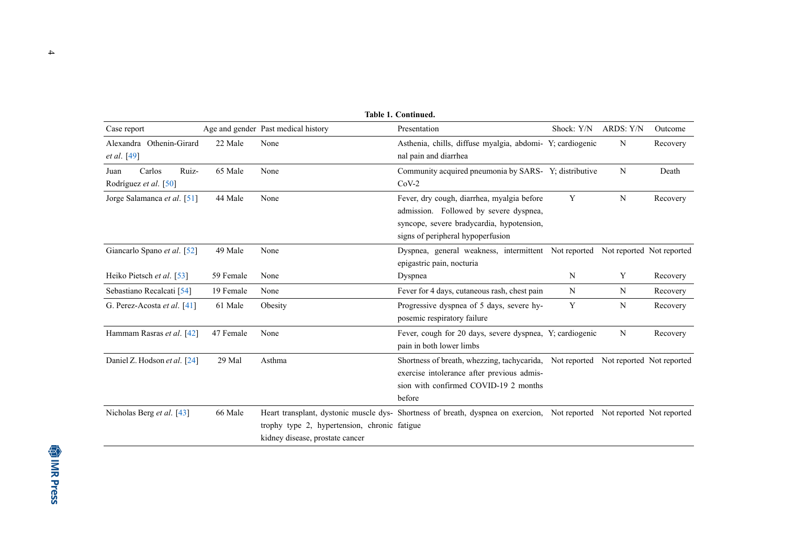|                                                  |           |                                                                                 | <b>Table 1. Continued.</b>                                                                                                                                                          |            |           |          |
|--------------------------------------------------|-----------|---------------------------------------------------------------------------------|-------------------------------------------------------------------------------------------------------------------------------------------------------------------------------------|------------|-----------|----------|
| Case report                                      |           | Age and gender Past medical history                                             | Presentation                                                                                                                                                                        | Shock: Y/N | ARDS: Y/N | Outcome  |
| Alexandra Othenin-Girard<br>et al. [49]          | 22 Male   | None                                                                            | Asthenia, chills, diffuse myalgia, abdomi- Y; cardiogenic<br>nal pain and diarrhea                                                                                                  |            | N         | Recovery |
| Carlos<br>Ruiz-<br>Juan<br>Rodríguez et al. [50] | 65 Male   | None                                                                            | Community acquired pneumonia by SARS-Y; distributive<br>$CoV-2$                                                                                                                     |            | N         | Death    |
| Jorge Salamanca et al. [51]                      | 44 Male   | None                                                                            | Fever, dry cough, diarrhea, myalgia before<br>admission. Followed by severe dyspnea,<br>syncope, severe bradycardia, hypotension,<br>signs of peripheral hypoperfusion              | Y          | N         | Recovery |
| Giancarlo Spano et al. [52]                      | 49 Male   | None                                                                            | Dyspnea, general weakness, intermittent Not reported Not reported Not reported<br>epigastric pain, nocturia                                                                         |            |           |          |
| Heiko Pietsch et al. [53]                        | 59 Female | None                                                                            | Dyspnea                                                                                                                                                                             | N          | Y         | Recovery |
| Sebastiano Recalcati [54]                        | 19 Female | None                                                                            | Fever for 4 days, cutaneous rash, chest pain                                                                                                                                        | N          | N         | Recovery |
| G. Perez-Acosta et al. [41]                      | 61 Male   | Obesity                                                                         | Progressive dyspnea of 5 days, severe hy-<br>posemic respiratory failure                                                                                                            | Y          | N         | Recovery |
| Hammam Rasras et al. [42]                        | 47 Female | None                                                                            | Fever, cough for 20 days, severe dyspnea, Y; cardiogenic<br>pain in both lower limbs                                                                                                |            | N         | Recovery |
| Daniel Z. Hodson et al. [24]                     | 29 Mal    | Asthma                                                                          | Shortness of breath, whezzing, tachycarida, Not reported Not reported Not reported<br>exercise intolerance after previous admis-<br>sion with confirmed COVID-19 2 months<br>before |            |           |          |
| Nicholas Berg et al. [43]                        | 66 Male   | trophy type 2, hypertension, chronic fatigue<br>kidney disease, prostate cancer | Heart transplant, dystonic muscle dys- Shortness of breath, dyspnea on exercion, Not reported Not reported Not reported                                                             |            |           |          |

4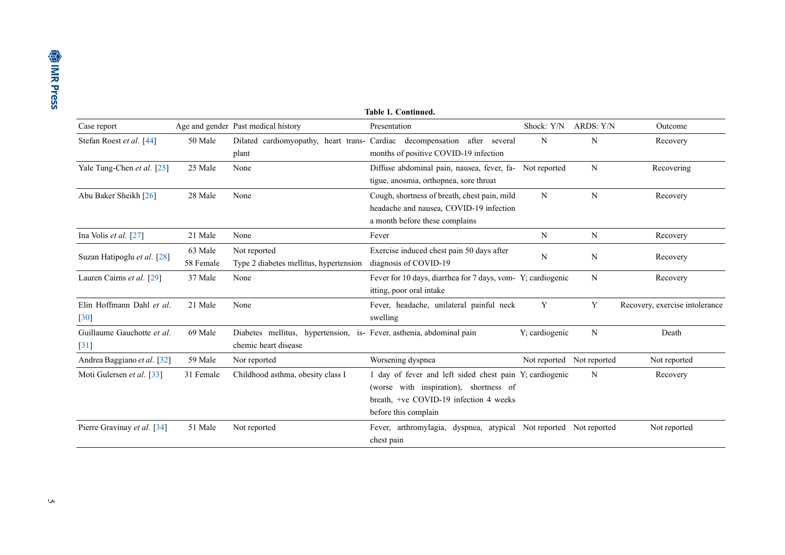<span id="page-6-0"></span>

| <b>Table 1. Continued.</b>                     |                      |                                                                                              |                                                                                                                                                                     |                           |           |                                |
|------------------------------------------------|----------------------|----------------------------------------------------------------------------------------------|---------------------------------------------------------------------------------------------------------------------------------------------------------------------|---------------------------|-----------|--------------------------------|
| Case report                                    |                      | Age and gender Past medical history                                                          | Presentation                                                                                                                                                        | Shock: Y/N                | ARDS: Y/N | Outcome                        |
| Stefan Roest et al. [44]                       | 50 Male              | plant                                                                                        | Dilated cardiomyopathy, heart trans- Cardiac decompensation after several<br>months of positive COVID-19 infection                                                  | N                         | N         | Recovery                       |
| Yale Tung-Chen et al. [25]                     | 25 Male              | None                                                                                         | Diffuse abdominal pain, nausea, fever, fa- Not reported<br>tigue, anosmia, orthopnea, sore throat                                                                   |                           | N         | Recovering                     |
| Abu Baker Sheikh [26]                          | 28 Male              | None                                                                                         | Cough, shortness of breath, chest pain, mild<br>headache and nausea, COVID-19 infection<br>a month before these complains                                           | N                         | N         | Recovery                       |
| Ina Volis et al. $[27]$                        | 21 Male              | None                                                                                         | Fever                                                                                                                                                               | N                         | N         | Recovery                       |
| Suzan Hatipoglu et al. [28]                    | 63 Male<br>58 Female | Not reported<br>Type 2 diabetes mellitus, hypertension                                       | Exercise induced chest pain 50 days after<br>diagnosis of COVID-19                                                                                                  | N                         | N         | Recovery                       |
| Lauren Cairns et al. [29]                      | 37 Male              | None                                                                                         | Fever for 10 days, diarrhea for 7 days, vom-Y; cardiogenic<br>itting, poor oral intake                                                                              |                           | N         | Recovery                       |
| Elin Hoffmann Dahl et al.<br>$\left[30\right]$ | 21 Male              | None                                                                                         | Fever, headache, unilateral painful neck<br>swelling                                                                                                                | Y                         | Y         | Recovery, exercise intolerance |
| Guillaume Gauchotte et al.<br>$[31]$           | 69 Male              | Diabetes mellitus, hypertension, is- Fever, asthenia, abdominal pain<br>chemic heart disease |                                                                                                                                                                     | Y; cardiogenic            | N         | Death                          |
| Andrea Baggiano et al. [32]                    | 59 Male              | Nor reported                                                                                 | Worsening dyspnea                                                                                                                                                   | Not reported Not reported |           | Not reported                   |
| Moti Gulersen et al. [33]                      | 31 Female            | Childhood asthma, obesity class I                                                            | 1 day of fever and left sided chest pain Y; cardiogenic<br>(worse with inspiration), shortness of<br>breath, +ve COVID-19 infection 4 weeks<br>before this complain |                           | N         | Recovery                       |
| Pierre Gravinay et al. [34]                    | 51 Male              | Not reported                                                                                 | Fever, arthromylagia, dyspnea, atypical Not reported Not reported<br>chest pain                                                                                     |                           |           | Not reported                   |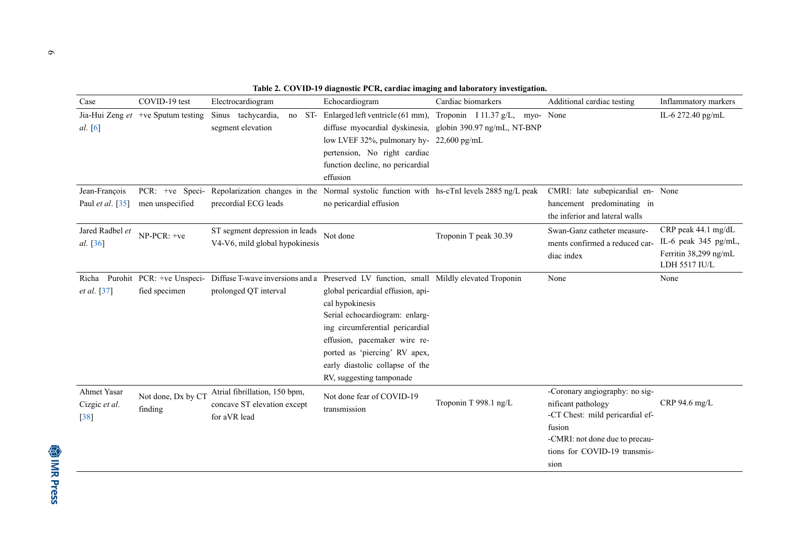| Table 2. COVID-19 diagnostic PCR, cardiac imaging and laboratory investigation. |  |
|---------------------------------------------------------------------------------|--|
|---------------------------------------------------------------------------------|--|

| Case                                   | COVID-19 test                        | Electrocardiogram                                                                                                                        | Echocardiogram                                                                                                                                                                                                                                            | Cardiac biomarkers                                                                                                        | Additional cardiac testing                                                                                                                                                  | Inflammatory markers                                                                  |
|----------------------------------------|--------------------------------------|------------------------------------------------------------------------------------------------------------------------------------------|-----------------------------------------------------------------------------------------------------------------------------------------------------------------------------------------------------------------------------------------------------------|---------------------------------------------------------------------------------------------------------------------------|-----------------------------------------------------------------------------------------------------------------------------------------------------------------------------|---------------------------------------------------------------------------------------|
| al. [6]                                | Jia-Hui Zeng $et$ +ve Sputum testing | Sinus tachycardia,<br>ST-<br>no<br>segment elevation                                                                                     | low LVEF 32%, pulmonary hy- 22,600 pg/mL<br>pertension, No right cardiac<br>function decline, no pericardial<br>effusion                                                                                                                                  | Enlarged left ventricle (61 mm), Troponin I 11.37 g/L, myo-<br>diffuse myocardial dyskinesia, globin 390.97 ng/mL, NT-BNP | None                                                                                                                                                                        | IL-6 272.40 pg/mL                                                                     |
| Jean-François<br>Paul et al. [35]      | men unspecified                      | PCR: +ve Speci- Repolarization changes in the Normal systolic function with hs-cTnI levels 2885 ng/L peak<br>precordial ECG leads        | no pericardial effusion                                                                                                                                                                                                                                   |                                                                                                                           | CMRI: late subepicardial en- None<br>hancement predominating in<br>the inferior and lateral walls                                                                           |                                                                                       |
| Jared Radbel et<br>al. [36]            | NP-PCR: +ve                          | ST segment depression in leads<br>V4-V6, mild global hypokinesis                                                                         | Not done                                                                                                                                                                                                                                                  | Troponin T peak 30.39                                                                                                     | Swan-Ganz catheter measure-<br>ments confirmed a reduced car-<br>diac index                                                                                                 | CRP peak 44.1 mg/dL<br>IL-6 peak 345 pg/mL,<br>Ferritin 38,299 ng/mL<br>LDH 5517 IU/L |
| Richa<br>et al. [37]                   | fied specimen                        | Purohit PCR: +ve Unspeci- Diffuse T-wave inversions and a Preserved LV function, small Mildly elevated Troponin<br>prolonged QT interval | global pericardial effusion, api-<br>cal hypokinesis<br>Serial echocardiogram: enlarg-<br>ing circumferential pericardial<br>effusion, pacemaker wire re-<br>ported as 'piercing' RV apex,<br>early diastolic collapse of the<br>RV, suggesting tamponade |                                                                                                                           | None                                                                                                                                                                        | None                                                                                  |
| Ahmet Yasar<br>Cizgic et al.<br>$[38]$ | Not done, Dx by CT<br>finding        | Atrial fibrillation, 150 bpm,<br>concave ST elevation except<br>for aVR lead                                                             | Not done fear of COVID-19<br>transmission                                                                                                                                                                                                                 | Troponin T 998.1 ng/L                                                                                                     | -Coronary angiography: no sig-<br>nificant pathology<br>-CT Chest: mild pericardial ef-<br>fusion<br>-CMRI: not done due to precau-<br>tions for COVID-19 transmis-<br>sion | $CRP$ 94.6 mg/L                                                                       |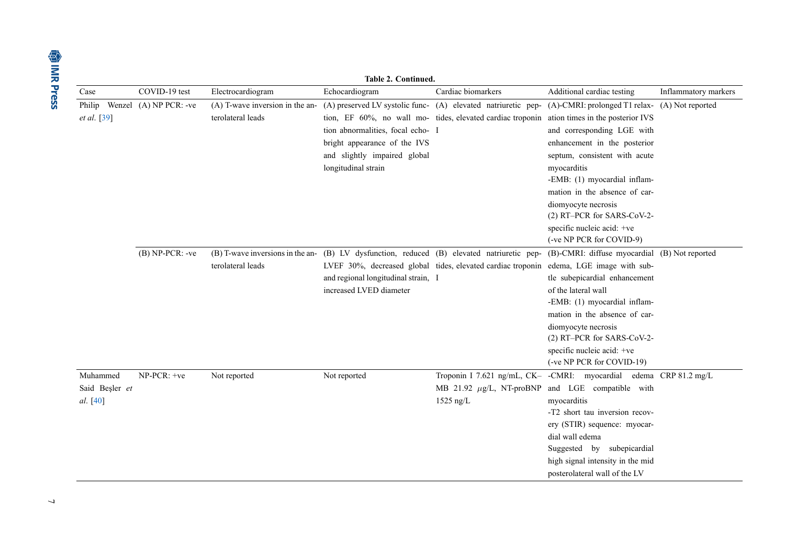|                                        | Table 2. Continued.      |                                                      |                                                                                                                                                              |                                                                                                                                                              |                                                                                                                                                                                                                                                                                                                                              |                      |  |  |  |
|----------------------------------------|--------------------------|------------------------------------------------------|--------------------------------------------------------------------------------------------------------------------------------------------------------------|--------------------------------------------------------------------------------------------------------------------------------------------------------------|----------------------------------------------------------------------------------------------------------------------------------------------------------------------------------------------------------------------------------------------------------------------------------------------------------------------------------------------|----------------------|--|--|--|
| Case                                   | COVID-19 test            | Electrocardiogram                                    | Echocardiogram                                                                                                                                               | Cardiac biomarkers                                                                                                                                           | Additional cardiac testing                                                                                                                                                                                                                                                                                                                   | Inflammatory markers |  |  |  |
| Philip<br><i>et al.</i> [39]           | Wenzel $(A)$ NP PCR: -ve | (A) T-wave inversion in the an-<br>terolateral leads | tion abnormalities, focal echo- I<br>bright appearance of the IVS<br>and slightly impaired global<br>longitudinal strain                                     | (A) preserved LV systolic func- (A) elevated natriuretic pep-<br>tion, EF 60%, no wall mo- tides, elevated cardiac troponin ation times in the posterior IVS | (A)-CMRI: prolonged T1 relax- (A) Not reported<br>and corresponding LGE with<br>enhancement in the posterior<br>septum, consistent with acute<br>myocarditis<br>-EMB: (1) myocardial inflam-<br>mation in the absence of car-<br>diomyocyte necrosis<br>(2) RT-PCR for SARS-CoV-2-<br>specific nucleic acid: +ve<br>(-ve NP PCR for COVID-9) |                      |  |  |  |
|                                        | $(B) NP-PCR: -ve$        | terolateral leads                                    | (B) T-wave inversions in the an- (B) LV dysfunction, reduced (B) elevated natriuretic pep-<br>and regional longitudinal strain, I<br>increased LVED diameter | LVEF 30%, decreased global tides, elevated cardiac troponin edema, LGE image with sub-                                                                       | (B)-CMRI: diffuse myocardial (B) Not reported<br>tle subepicardial enhancement<br>of the lateral wall<br>-EMB: (1) myocardial inflam-<br>mation in the absence of car-<br>diomyocyte necrosis<br>(2) RT-PCR for SARS-CoV-2-<br>specific nucleic acid: +ve<br>(-ve NP PCR for COVID-19)                                                       |                      |  |  |  |
| Muhammed<br>Said Beşler et<br>al. [40] | NP-PCR: +ve              | Not reported                                         | Not reported                                                                                                                                                 | MB 21.92 $\mu$ g/L, NT-proBNP<br>$1525$ ng/L                                                                                                                 | Troponin I 7.621 ng/mL, CK- -CMRI: myocardial edema CRP 81.2 mg/L<br>and LGE compatible with<br>myocarditis<br>-T2 short tau inversion recov-<br>ery (STIR) sequence: myocar-<br>dial wall edema<br>Suggested by subepicardial<br>high signal intensity in the mid<br>posterolateral wall of the LV                                          |                      |  |  |  |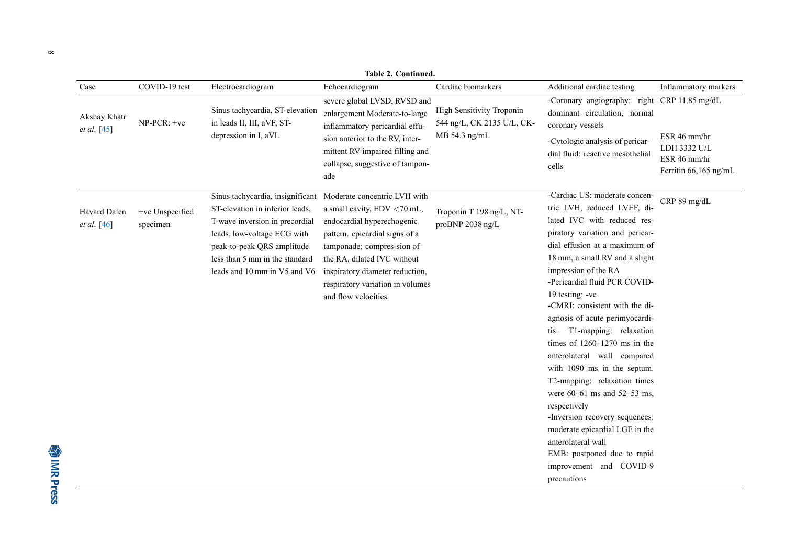|                             | Table 2. Continued.         |                                                                                                                                                                                                                                                                   |                                                                                                                                                                                                                                                        |                                                                          |                                                                                                                                                                                                                                                                                                                                                                                                                                                                                                                                                                                                                                                                                                                                           |                                                                       |  |
|-----------------------------|-----------------------------|-------------------------------------------------------------------------------------------------------------------------------------------------------------------------------------------------------------------------------------------------------------------|--------------------------------------------------------------------------------------------------------------------------------------------------------------------------------------------------------------------------------------------------------|--------------------------------------------------------------------------|-------------------------------------------------------------------------------------------------------------------------------------------------------------------------------------------------------------------------------------------------------------------------------------------------------------------------------------------------------------------------------------------------------------------------------------------------------------------------------------------------------------------------------------------------------------------------------------------------------------------------------------------------------------------------------------------------------------------------------------------|-----------------------------------------------------------------------|--|
| Case                        | COVID-19 test               | Electrocardiogram                                                                                                                                                                                                                                                 | Echocardiogram                                                                                                                                                                                                                                         | Cardiac biomarkers                                                       | Additional cardiac testing                                                                                                                                                                                                                                                                                                                                                                                                                                                                                                                                                                                                                                                                                                                | Inflammatory markers                                                  |  |
| Akshay Khatr<br>et al. [45] | NP-PCR: +ve                 | Sinus tachycardia, ST-elevation<br>in leads II, III, aVF, ST-<br>depression in I, aVL                                                                                                                                                                             | severe global LVSD, RVSD and<br>enlargement Moderate-to-large<br>inflammatory pericardial effu-<br>sion anterior to the RV, inter-<br>mittent RV impaired filling and<br>collapse, suggestive of tampon-<br>ade                                        | High Sensitivity Troponin<br>544 ng/L, CK 2135 U/L, CK-<br>MB 54.3 ng/mL | -Coronary angiography: right CRP 11.85 mg/dL<br>dominant circulation, normal<br>coronary vessels<br>-Cytologic analysis of pericar-<br>dial fluid: reactive mesothelial<br>cells                                                                                                                                                                                                                                                                                                                                                                                                                                                                                                                                                          | ESR 46 mm/hr<br>LDH 3332 U/L<br>ESR 46 mm/hr<br>Ferritin 66,165 ng/mL |  |
| Havard Dalen<br>et al. [46] | +ve Unspecified<br>specimen | Sinus tachycardia, insignificant Moderate concentric LVH with<br>ST-elevation in inferior leads,<br>T-wave inversion in precordial<br>leads, low-voltage ECG with<br>peak-to-peak QRS amplitude<br>less than 5 mm in the standard<br>leads and 10 mm in V5 and V6 | a small cavity, EDV <70 mL,<br>endocardial hyperechogenic<br>pattern. epicardial signs of a<br>tamponade: compres-sion of<br>the RA, dilated IVC without<br>inspiratory diameter reduction,<br>respiratory variation in volumes<br>and flow velocities | Troponin T 198 ng/L, NT-<br>proBNP 2038 ng/L                             | -Cardiac US: moderate concen-<br>tric LVH, reduced LVEF, di-<br>lated IVC with reduced res-<br>piratory variation and pericar-<br>dial effusion at a maximum of<br>18 mm, a small RV and a slight<br>impression of the RA<br>-Pericardial fluid PCR COVID-<br>19 testing: -ve<br>-CMRI: consistent with the di-<br>agnosis of acute perimyocardi-<br>T1-mapping: relaxation<br>tis.<br>times of $1260-1270$ ms in the<br>anterolateral wall compared<br>with 1090 ms in the septum.<br>T2-mapping: relaxation times<br>were $60-61$ ms and $52-53$ ms,<br>respectively<br>-Inversion recovery sequences:<br>moderate epicardial LGE in the<br>anterolateral wall<br>EMB: postponed due to rapid<br>improvement and COVID-9<br>precautions | CRP 89 mg/dL                                                          |  |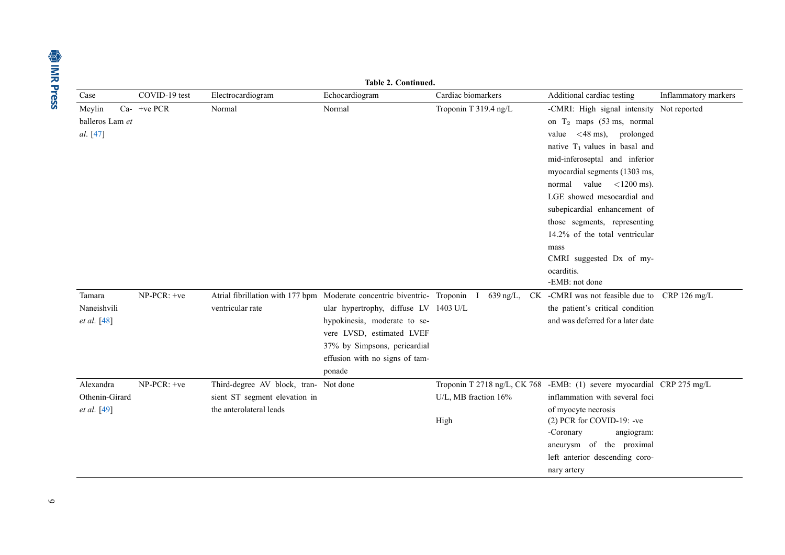| Table 2. Continued.                        |               |                                                                                                   |                                                                                                                                                                                                                                                            |                              |                                                                                                                                                                                                                                                                                                                                                                                                                                                                                                 |                        |  |
|--------------------------------------------|---------------|---------------------------------------------------------------------------------------------------|------------------------------------------------------------------------------------------------------------------------------------------------------------------------------------------------------------------------------------------------------------|------------------------------|-------------------------------------------------------------------------------------------------------------------------------------------------------------------------------------------------------------------------------------------------------------------------------------------------------------------------------------------------------------------------------------------------------------------------------------------------------------------------------------------------|------------------------|--|
| Case                                       | COVID-19 test | Electrocardiogram                                                                                 | Echocardiogram                                                                                                                                                                                                                                             | Cardiac biomarkers           | Additional cardiac testing                                                                                                                                                                                                                                                                                                                                                                                                                                                                      | Inflammatory markers   |  |
| Meylin<br>balleros Lam et<br>al. [47]      | $Ca-$ +ve PCR | Normal                                                                                            | Normal                                                                                                                                                                                                                                                     | Troponin T 319.4 ng/L        | -CMRI: High signal intensity Not reported<br>on $T_2$ maps (53 ms, normal<br>value $\langle 48 \text{ ms} \rangle$ , prolonged<br>native $T_1$ values in basal and<br>mid-inferoseptal and inferior<br>myocardial segments (1303 ms,<br>value $\langle 1200 \text{ ms} \rangle$ .<br>normal<br>LGE showed mesocardial and<br>subepicardial enhancement of<br>those segments, representing<br>14.2% of the total ventricular<br>mass<br>CMRI suggested Dx of my-<br>ocarditis.<br>-EMB: not done |                        |  |
| Tamara<br>Naneishvili<br>et al. [48]       | NP-PCR: +ve   | ventricular rate                                                                                  | Atrial fibrillation with 177 bpm Moderate concentric biventric- Troponin<br>ular hypertrophy, diffuse LV 1403 U/L<br>hypokinesia, moderate to se-<br>vere LVSD, estimated LVEF<br>37% by Simpsons, pericardial<br>effusion with no signs of tam-<br>ponade | $639$ ng/L,<br>$\mathbf{I}$  | CK -CMRI was not feasible due to<br>the patient's critical condition<br>and was deferred for a later date                                                                                                                                                                                                                                                                                                                                                                                       | CRP $126 \text{ mg/L}$ |  |
| Alexandra<br>Othenin-Girard<br>et al. [49] | NP-PCR: +ve   | Third-degree AV block, tran- Not done<br>sient ST segment elevation in<br>the anterolateral leads |                                                                                                                                                                                                                                                            | U/L, MB fraction 16%<br>High | Troponin T 2718 ng/L, CK 768 -EMB: (1) severe myocardial CRP 275 mg/L<br>inflammation with several foci<br>of myocyte necrosis<br>$(2)$ PCR for COVID-19: -ve<br>-Coronary<br>angiogram:<br>aneurysm of the proximal<br>left anterior descending coro-<br>nary artery                                                                                                                                                                                                                           |                        |  |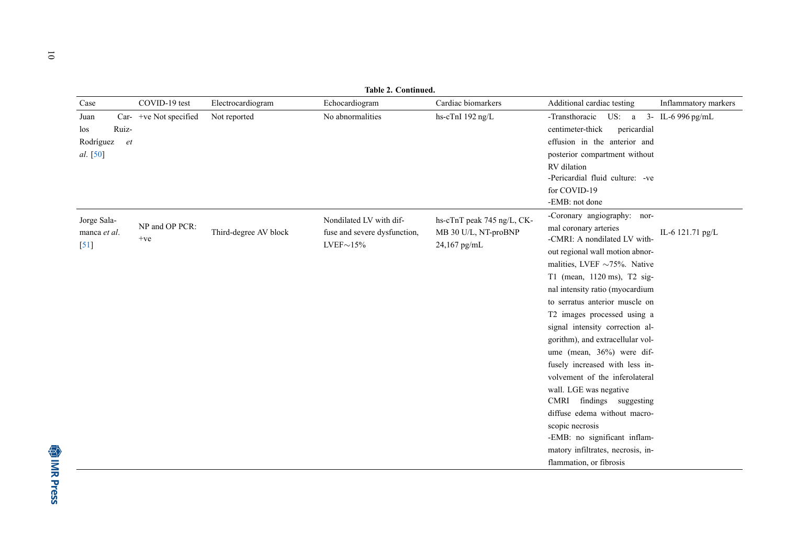|                                                                        | <b>Table 2. Continued.</b> |                       |                                                                           |                                                                    |                                                                                                                                                                                                                                                                                                                                                                                                                                                                                                                                                                                                                                                                                  |                      |  |  |  |
|------------------------------------------------------------------------|----------------------------|-----------------------|---------------------------------------------------------------------------|--------------------------------------------------------------------|----------------------------------------------------------------------------------------------------------------------------------------------------------------------------------------------------------------------------------------------------------------------------------------------------------------------------------------------------------------------------------------------------------------------------------------------------------------------------------------------------------------------------------------------------------------------------------------------------------------------------------------------------------------------------------|----------------------|--|--|--|
| Case                                                                   | COVID-19 test              | Electrocardiogram     | Echocardiogram                                                            | Cardiac biomarkers                                                 | Additional cardiac testing                                                                                                                                                                                                                                                                                                                                                                                                                                                                                                                                                                                                                                                       | Inflammatory markers |  |  |  |
| Juan<br>Car-<br>Ruiz-<br>los<br>Rodríguez<br><sup>et</sup><br>al. [50] | +ve Not specified          | Not reported          | No abnormalities                                                          | hs-cTnI 192 ng/L                                                   | -Transthoracic US: a 3- IL-6 996 pg/mL<br>centimeter-thick<br>pericardial<br>effusion in the anterior and<br>posterior compartment without<br>RV dilation<br>-Pericardial fluid culture: -ve<br>for COVID-19<br>-EMB: not done                                                                                                                                                                                                                                                                                                                                                                                                                                                   |                      |  |  |  |
| Jorge Sala-<br>manca et al.<br>$[51]$                                  | NP and OP PCR:<br>$+ve$    | Third-degree AV block | Nondilated LV with dif-<br>fuse and severe dysfunction,<br>$LVEF\sim15\%$ | hs-cTnT peak 745 ng/L, CK-<br>MB 30 U/L, NT-proBNP<br>24,167 pg/mL | -Coronary angiography: nor-<br>mal coronary arteries<br>-CMRI: A nondilated LV with-<br>out regional wall motion abnor-<br>malities, LVEF $\sim$ 75%. Native<br>T1 (mean, 1120 ms), T2 sig-<br>nal intensity ratio (myocardium<br>to serratus anterior muscle on<br>T2 images processed using a<br>signal intensity correction al-<br>gorithm), and extracellular vol-<br>ume (mean, 36%) were dif-<br>fusely increased with less in-<br>volvement of the inferolateral<br>wall. LGE was negative<br>CMRI findings suggesting<br>diffuse edema without macro-<br>scopic necrosis<br>-EMB: no significant inflam-<br>matory infiltrates, necrosis, in-<br>flammation, or fibrosis | IL-6 121.71 pg/L     |  |  |  |

10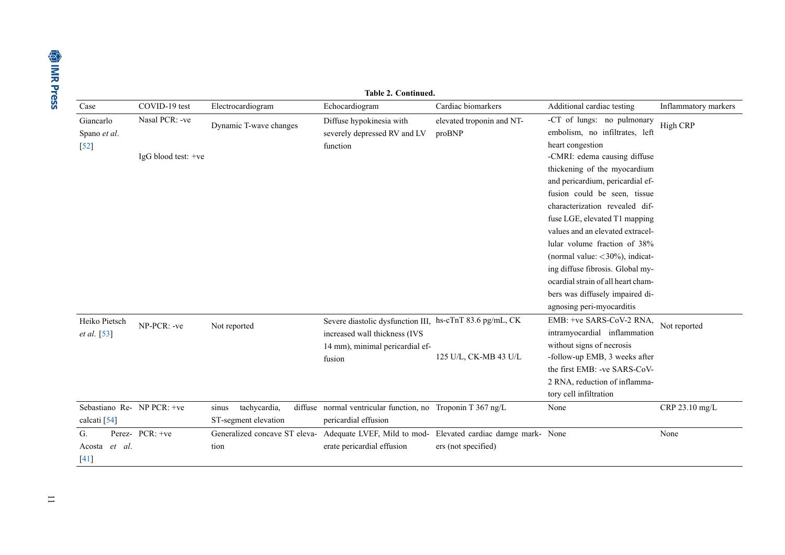|                                     | Table 2. Continued. |                                       |                                               |                                                                                                                                        |                                     |                                                                                                                                                                                                                                                                                                                                                                                                                                                                            |                      |  |
|-------------------------------------|---------------------|---------------------------------------|-----------------------------------------------|----------------------------------------------------------------------------------------------------------------------------------------|-------------------------------------|----------------------------------------------------------------------------------------------------------------------------------------------------------------------------------------------------------------------------------------------------------------------------------------------------------------------------------------------------------------------------------------------------------------------------------------------------------------------------|----------------------|--|
| Case                                |                     | COVID-19 test                         | Electrocardiogram                             | Echocardiogram                                                                                                                         | Cardiac biomarkers                  | Additional cardiac testing                                                                                                                                                                                                                                                                                                                                                                                                                                                 | Inflammatory markers |  |
| Giancarlo<br>Spano et al.<br>$[52]$ |                     | Nasal PCR: -ve<br>IgG blood test: +ve | Dynamic T-wave changes                        | Diffuse hypokinesia with<br>severely depressed RV and LV<br>function                                                                   | elevated troponin and NT-<br>proBNP | -CT of lungs: no pulmonary<br>embolism, no infiltrates, left<br>heart congestion<br>-CMRI: edema causing diffuse<br>thickening of the myocardium<br>and pericardium, pericardial ef-<br>fusion could be seen, tissue<br>characterization revealed dif-<br>fuse LGE, elevated T1 mapping<br>values and an elevated extracel-<br>lular volume fraction of 38%<br>(normal value: $<$ 30%), indicat-<br>ing diffuse fibrosis. Global my-<br>ocardial strain of all heart cham- | High CRP             |  |
|                                     |                     |                                       |                                               |                                                                                                                                        |                                     | bers was diffusely impaired di-<br>agnosing peri-myocarditis                                                                                                                                                                                                                                                                                                                                                                                                               |                      |  |
| Heiko Pietsch<br>et al. [53]        |                     | NP-PCR: -ve                           | Not reported                                  | Severe diastolic dysfunction III, hs-cTnT 83.6 pg/mL, CK<br>increased wall thickness (IVS<br>14 mm), minimal pericardial ef-<br>fusion | 125 U/L, CK-MB 43 U/L               | EMB: +ve SARS-CoV-2 RNA,<br>intramyocardial inflammation<br>without signs of necrosis<br>-follow-up EMB, 3 weeks after<br>the first EMB: -ve SARS-CoV-<br>2 RNA, reduction of inflamma-                                                                                                                                                                                                                                                                                    | Not reported         |  |
|                                     |                     |                                       |                                               |                                                                                                                                        |                                     | tory cell infiltration                                                                                                                                                                                                                                                                                                                                                                                                                                                     |                      |  |
| calcati [54]                        |                     | Sebastiano Re- NP PCR: +ve            | tachycardia,<br>sinus<br>ST-segment elevation | diffuse normal ventricular function, no Troponin T 367 ng/L<br>pericardial effusion                                                    |                                     | None                                                                                                                                                                                                                                                                                                                                                                                                                                                                       | CRP 23.10 mg/L       |  |
| G.<br>Acosta<br>$[41]$              | et al.              | Perez- PCR: +ve                       | tion                                          | Generalized concave ST eleva- Adequate LVEF, Mild to mod- Elevated cardiac damge mark- None<br>erate pericardial effusion              | ers (not specified)                 |                                                                                                                                                                                                                                                                                                                                                                                                                                                                            | None                 |  |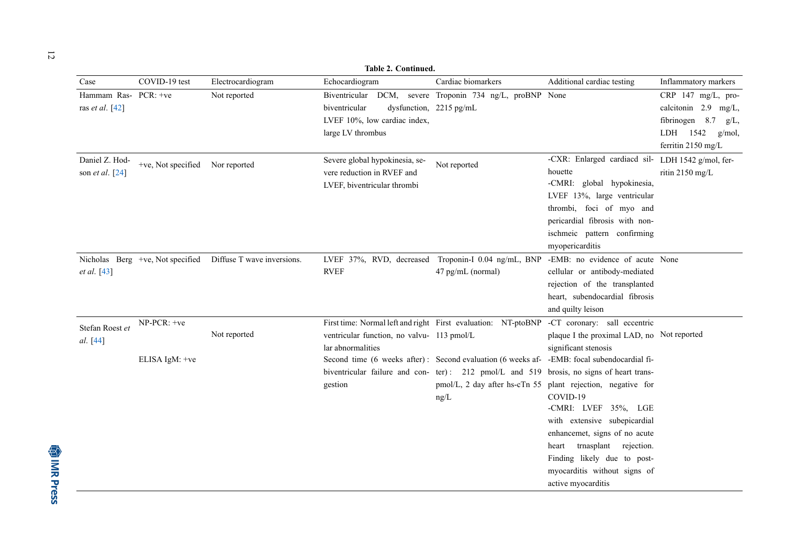|                                           | Table 2. Continued.              |                            |                                                                                             |                                                                                                                                                                                                                                                                 |                                                                                                                                                                                                                                                                                                                                                                                            |                                                                                                                 |  |  |
|-------------------------------------------|----------------------------------|----------------------------|---------------------------------------------------------------------------------------------|-----------------------------------------------------------------------------------------------------------------------------------------------------------------------------------------------------------------------------------------------------------------|--------------------------------------------------------------------------------------------------------------------------------------------------------------------------------------------------------------------------------------------------------------------------------------------------------------------------------------------------------------------------------------------|-----------------------------------------------------------------------------------------------------------------|--|--|
| Case                                      | COVID-19 test                    | Electrocardiogram          | Echocardiogram                                                                              | Cardiac biomarkers                                                                                                                                                                                                                                              | Additional cardiac testing                                                                                                                                                                                                                                                                                                                                                                 | Inflammatory markers                                                                                            |  |  |
| Hammam Ras- PCR: +ve<br>ras et al. $[42]$ |                                  | Not reported               | Biventricular<br>biventricular<br>LVEF 10%, low cardiac index,<br>large LV thrombus         | DCM, severe Troponin 734 ng/L, proBNP None<br>dysfunction, 2215 pg/mL                                                                                                                                                                                           |                                                                                                                                                                                                                                                                                                                                                                                            | CRP 147 mg/L, pro-<br>calcitonin 2.9 mg/L,<br>fibrinogen 8.7<br>g/L<br>LDH 1542<br>g/mol,<br>ferritin 2150 mg/L |  |  |
| Daniel Z. Hod-<br>son et al. $[24]$       | +ve, Not specified Nor reported  |                            | Severe global hypokinesia, se-<br>vere reduction in RVEF and<br>LVEF, biventricular thrombi | Not reported                                                                                                                                                                                                                                                    | -CXR: Enlarged cardiacd sil- LDH 1542 g/mol, fer-<br>houette<br>-CMRI: global hypokinesia,<br>LVEF 13%, large ventricular<br>thrombi, foci of myo and<br>pericardial fibrosis with non-<br>ischmeic pattern confirming<br>myopericarditis                                                                                                                                                  | ritin 2150 mg/L                                                                                                 |  |  |
| et al. [43]                               | Nicholas Berg +ve, Not specified | Diffuse T wave inversions. | <b>RVEF</b>                                                                                 | LVEF 37%, RVD, decreased Troponin-I 0.04 ng/mL, BNP -EMB: no evidence of acute None<br>47 pg/mL (normal)                                                                                                                                                        | cellular or antibody-mediated<br>rejection of the transplanted<br>heart, subendocardial fibrosis<br>and quilty leison                                                                                                                                                                                                                                                                      |                                                                                                                 |  |  |
| Stefan Roest et<br>al. [44]               | NP-PCR: +ve<br>ELISA IgM: +ve    | Not reported               | ventricular function, no valvu- 113 pmol/L<br>lar abnormalities<br>gestion                  | First time: Normal left and right First evaluation: NT-ptoBNP<br>Second time (6 weeks after): Second evaluation (6 weeks af- -EMB: focal subendocardial fi-<br>biventricular failure and con- ter): 212 pmol/L and 519 brosis, no signs of heart trans-<br>ng/L | -CT coronary: sall eccentric<br>plaque I the proximal LAD, no Not reported<br>significant stenosis<br>pmol/L, 2 day after hs-cTn 55 plant rejection, negative for<br>COVID-19<br>-CMRI: LVEF 35%, LGE<br>with extensive subepicardial<br>enhancemet, signs of no acute<br>heart trnasplant rejection.<br>Finding likely due to post-<br>myocarditis without signs of<br>active myocarditis |                                                                                                                 |  |  |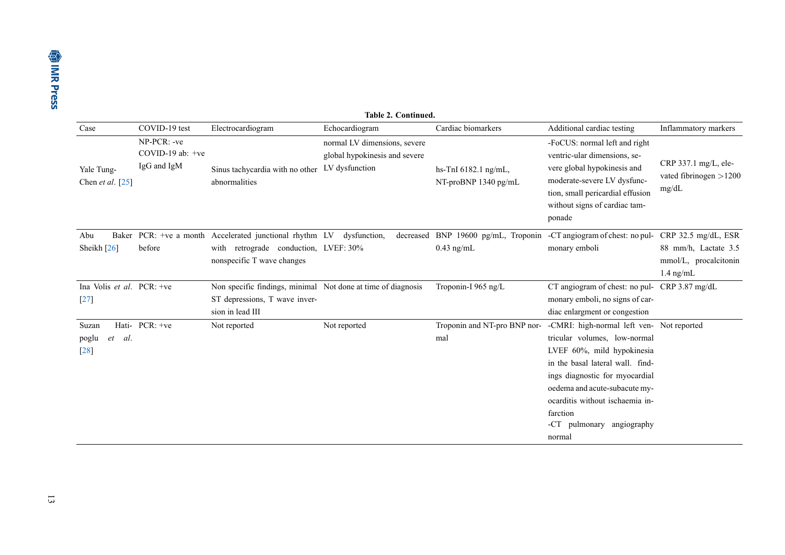|                                        | <b>Table 2. Continued.</b>                       |                                                                                                                                       |                                                                                 |                                                     |                                                                                                                                                                                                                                                                                                      |                                                              |  |  |
|----------------------------------------|--------------------------------------------------|---------------------------------------------------------------------------------------------------------------------------------------|---------------------------------------------------------------------------------|-----------------------------------------------------|------------------------------------------------------------------------------------------------------------------------------------------------------------------------------------------------------------------------------------------------------------------------------------------------------|--------------------------------------------------------------|--|--|
| Case                                   | COVID-19 test                                    | Electrocardiogram                                                                                                                     | Echocardiogram                                                                  | Cardiac biomarkers                                  | Additional cardiac testing                                                                                                                                                                                                                                                                           | Inflammatory markers                                         |  |  |
| Yale Tung-<br>Chen <i>et al.</i> [25]  | NP-PCR: -ve<br>COVID-19 ab: $+ve$<br>IgG and IgM | Sinus tachycardia with no other<br>abnormalities                                                                                      | normal LV dimensions, severe<br>global hypokinesis and severe<br>LV dysfunction | hs-TnI 6182.1 ng/mL,<br>NT-proBNP 1340 pg/mL        | -FoCUS: normal left and right<br>ventric-ular dimensions, se-<br>vere global hypokinesis and<br>moderate-severe LV dysfunc-<br>tion, small pericardial effusion<br>without signs of cardiac tam-<br>ponade                                                                                           | CRP 337.1 mg/L, ele-<br>vated fibrinogen $>1200$<br>mg/dL    |  |  |
| Baker<br>Abu<br>Sheikh $[26]$          | before                                           | PCR: +ve a month Accelerated junctional rhythm LV dysfunction,<br>with retrograde conduction, LVEF: 30%<br>nonspecific T wave changes |                                                                                 | decreased BNP 19600 pg/mL, Troponin<br>$0.43$ ng/mL | -CT angiogram of chest: no pul- CRP 32.5 mg/dL, ESR<br>monary emboli                                                                                                                                                                                                                                 | 88 mm/h, Lactate 3.5<br>mmol/L, procalcitonin<br>$1.4$ ng/mL |  |  |
| Ina Volis et al. $PCR$ : +ve<br>$[27]$ |                                                  | Non specific findings, minimal Not done at time of diagnosis<br>ST depressions, T wave inver-<br>sion in lead III                     |                                                                                 | Troponin-I 965 ng/L                                 | CT angiogram of chest: no pul- CRP 3.87 mg/dL<br>monary emboli, no signs of car-<br>diac enlargment or congestion                                                                                                                                                                                    |                                                              |  |  |
| Suzan<br>al.<br>poglu<br>et<br>$[28]$  | Hati- PCR: +ve                                   | Not reported                                                                                                                          | Not reported                                                                    | Troponin and NT-pro BNP nor-<br>mal                 | -CMRI: high-normal left ven- Not reported<br>tricular volumes, low-normal<br>LVEF 60%, mild hypokinesia<br>in the basal lateral wall. find-<br>ings diagnostic for myocardial<br>oedema and acute-subacute my-<br>ocarditis without ischaemia in-<br>farction<br>-CT pulmonary angiography<br>normal |                                                              |  |  |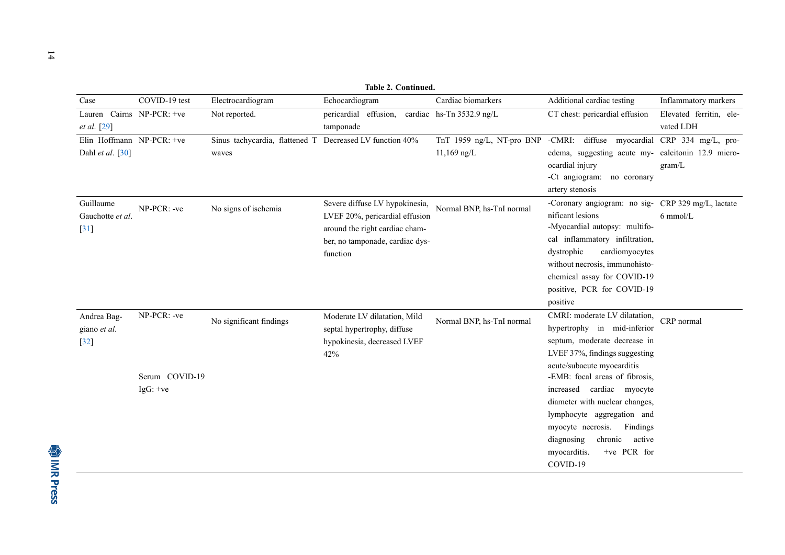| Table 2. Continued.           |                |                                                          |                                 |                                |  |                                                 |                                        |                                                              |                                                    |  |  |  |
|-------------------------------|----------------|----------------------------------------------------------|---------------------------------|--------------------------------|--|-------------------------------------------------|----------------------------------------|--------------------------------------------------------------|----------------------------------------------------|--|--|--|
| Case                          | COVID-19 test  | Electrocardiogram                                        | Echocardiogram                  |                                |  | Cardiac biomarkers                              |                                        | Additional cardiac testing                                   | Inflammatory markers                               |  |  |  |
| Lauren Cairns NP-PCR: +ve     |                | Not reported.                                            |                                 |                                |  | pericardial effusion, cardiac hs-Tn 3532.9 ng/L |                                        | CT chest: pericardial effusion                               | Elevated ferritin, ele-                            |  |  |  |
| et al. [29]                   |                |                                                          | tamponade                       |                                |  |                                                 |                                        |                                                              | vated LDH                                          |  |  |  |
| Elin Hoffmann NP-PCR: +ve     |                | Sinus tachycardia, flattened T Decreased LV function 40% |                                 |                                |  | TnT 1959 ng/L, NT-pro BNP                       |                                        |                                                              | -CMRI: diffuse myocardial CRP 334 mg/L, pro-       |  |  |  |
| Dahl et al. $[30]$            |                | waves                                                    |                                 |                                |  | $11,169$ ng/L                                   |                                        |                                                              | edema, suggesting acute my- calcitonin 12.9 micro- |  |  |  |
|                               |                |                                                          |                                 |                                |  |                                                 | ocardial injury                        |                                                              | gram/L                                             |  |  |  |
|                               |                |                                                          |                                 |                                |  |                                                 | -Ct angiogram:                         | no coronary                                                  |                                                    |  |  |  |
|                               |                |                                                          |                                 |                                |  |                                                 | artery stenosis                        |                                                              |                                                    |  |  |  |
| Guillaume<br>Gauchotte et al. | NP-PCR: -ve    | No signs of ischemia                                     |                                 | Severe diffuse LV hypokinesia, |  | Normal BNP, hs-TnI normal                       |                                        |                                                              | -Coronary angiogram: no sig- CRP 329 mg/L, lactate |  |  |  |
|                               |                |                                                          | LVEF 20%, pericardial effusion  |                                |  |                                                 | nificant lesions                       |                                                              | $6 \text{ mmol/L}$                                 |  |  |  |
| $[31]$                        |                |                                                          | around the right cardiac cham-  |                                |  |                                                 |                                        | -Myocardial autopsy: multifo-                                |                                                    |  |  |  |
|                               |                |                                                          | ber, no tamponade, cardiac dys- |                                |  |                                                 |                                        | cal inflammatory infiltration,                               |                                                    |  |  |  |
|                               |                |                                                          | function                        |                                |  |                                                 | dystrophic                             | cardiomyocytes                                               |                                                    |  |  |  |
|                               |                |                                                          |                                 |                                |  |                                                 |                                        | without necrosis, immunohisto-                               |                                                    |  |  |  |
|                               |                |                                                          |                                 |                                |  |                                                 |                                        | chemical assay for COVID-19                                  |                                                    |  |  |  |
|                               |                |                                                          |                                 |                                |  |                                                 |                                        | positive, PCR for COVID-19                                   |                                                    |  |  |  |
|                               |                |                                                          |                                 |                                |  |                                                 | positive                               |                                                              |                                                    |  |  |  |
| Andrea Bag-<br>giano et al.   | NP-PCR: -ve    | No significant findings                                  | Moderate LV dilatation, Mild    | Normal BNP, hs-TnI normal      |  | CMRI: moderate LV dilatation,                   | CRP normal                             |                                                              |                                                    |  |  |  |
|                               |                |                                                          | septal hypertrophy, diffuse     |                                |  |                                                 |                                        | hypertrophy in mid-inferior                                  |                                                    |  |  |  |
| $[32]$                        |                |                                                          | hypokinesia, decreased LVEF     |                                |  |                                                 |                                        | septum, moderate decrease in                                 |                                                    |  |  |  |
|                               |                |                                                          | 42%                             |                                |  |                                                 |                                        | LVEF 37%, findings suggesting                                |                                                    |  |  |  |
|                               | Serum COVID-19 |                                                          |                                 |                                |  |                                                 |                                        | acute/subacute myocarditis<br>-EMB: focal areas of fibrosis, |                                                    |  |  |  |
|                               | $IgG: +ve$     |                                                          |                                 |                                |  |                                                 |                                        | increased cardiac myocyte                                    |                                                    |  |  |  |
|                               |                |                                                          |                                 |                                |  |                                                 |                                        | diameter with nuclear changes,                               |                                                    |  |  |  |
|                               |                |                                                          |                                 |                                |  |                                                 |                                        | lymphocyte aggregation and                                   |                                                    |  |  |  |
|                               |                |                                                          |                                 |                                |  |                                                 | myocyte necrosis.                      | Findings                                                     |                                                    |  |  |  |
|                               |                |                                                          |                                 |                                |  |                                                 |                                        |                                                              |                                                    |  |  |  |
|                               |                |                                                          |                                 |                                |  |                                                 |                                        |                                                              |                                                    |  |  |  |
|                               |                |                                                          |                                 |                                |  |                                                 |                                        |                                                              |                                                    |  |  |  |
|                               |                |                                                          |                                 |                                |  |                                                 | diagnosing<br>myocarditis.<br>COVID-19 | chronic<br>active<br>+ve PCR for                             |                                                    |  |  |  |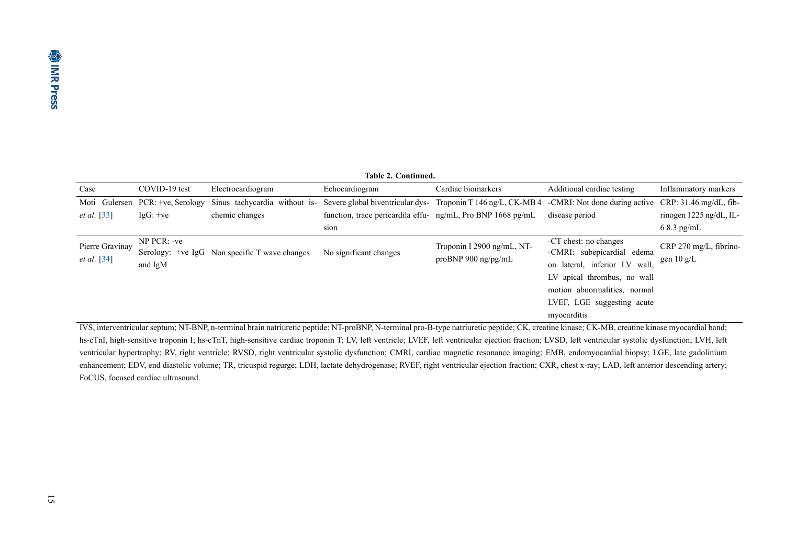| Table 2. Continued.                   |                                    |                                               |                                                                |                                                                                                                    |                                                                                                          |                                                |  |  |  |  |  |  |
|---------------------------------------|------------------------------------|-----------------------------------------------|----------------------------------------------------------------|--------------------------------------------------------------------------------------------------------------------|----------------------------------------------------------------------------------------------------------|------------------------------------------------|--|--|--|--|--|--|
| Case                                  | COVID-19 test<br>Electrocardiogram |                                               | Echocardiogram                                                 | Cardiac biomarkers                                                                                                 | Additional cardiac testing                                                                               | Inflammatory markers                           |  |  |  |  |  |  |
|                                       | Moti Gulersen PCR: +ve, Serology   | Sinus tachycardia without is-                 |                                                                | Severe global biventricular dys- Troponin T 146 ng/L, CK-MB 4 -CMRI: Not done during active CRP: 31.46 mg/dL, fib- |                                                                                                          |                                                |  |  |  |  |  |  |
| <i>et al.</i> [33]                    | $IgG: +ve$                         | chemic changes                                | function, trace pericardila effu- $ng/mL$ , Pro BNP 1668 pg/mL |                                                                                                                    | disease period                                                                                           | rinogen 1225 ng/dL, IL-                        |  |  |  |  |  |  |
|                                       |                                    |                                               | sion                                                           |                                                                                                                    |                                                                                                          | $68.3$ pg/mL                                   |  |  |  |  |  |  |
| Pierre Gravinay<br><i>et al.</i> [34] | $NP$ PCR: $-ve$<br>and IgM         | Serology: +ve IgG Non specific T wave changes | No significant changes                                         | Troponin I 2900 ng/mL, NT-<br>pro $BNP$ 900 ng/pg/mL                                                               | -CT chest: no changes<br>-CMRI: subepicardial edema<br>on lateral, inferior LV wall,                     | CRP 270 mg/L, fibrino-<br>gen $10 \text{ g/L}$ |  |  |  |  |  |  |
|                                       |                                    |                                               |                                                                |                                                                                                                    | LV apical thrombus, no wall<br>motion abnormalities, normal<br>LVEF, LGE suggesting acute<br>myocarditis |                                                |  |  |  |  |  |  |

<span id="page-16-0"></span> IVS, interventricular septum; NT-BNP, n-terminal brain natriuretic peptide; NT-proBNP, N-terminal pro-B-type natriuretic peptide; CK, creatine kinase; CK-MB, creatine kinase myocardial band; hs-cTnI, high-sensitive troponin I; hs-cTnT, high-sensitive cardiac troponin T; LV, left ventricle; LVEF, left ventricular ejection fraction; LVSD, left ventricular systolic dysfunction; LVH, left ventricular hypertrophy; RV, right ventricle; RVSD, right ventricular systolic dysfunction; CMRI, cardiac magnetic resonance imaging; EMB, endomyocardial biopsy; LGE, late gadolinium enhancement; EDV, end diastolic volume; TR, tricuspid regurge; LDH, lactate dehydrogenase; RVEF, right ventricular ejection fraction; CXR, chest x-ray; LAD, left anterior descending artery; FoCUS, focused cardiac ultrasound.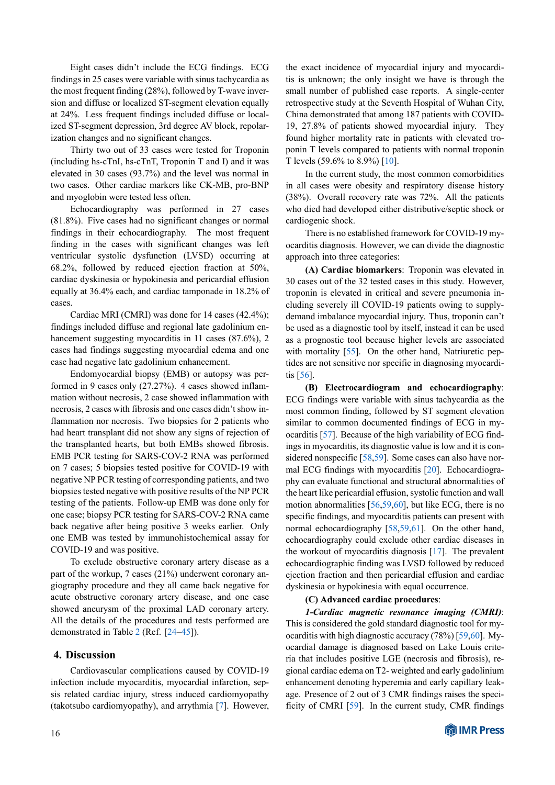Eight cases didn't include the ECG findings. ECG findings in 25 cases were variable with sinus tachycardia as the most frequent finding (28%), followed by T-wave inversion and diffuse or localized ST-segment elevation equally at 24%. Less frequent findings included diffuse or localized ST-segment depression, 3rd degree AV block, repolarization changes and no significant changes.

Thirty two out of 33 cases were tested for Troponin (including hs-cTnI, hs-cTnT, Troponin T and I) and it was elevated in 30 cases (93.7%) and the level was normal in two cases. Other cardiac markers like CK-MB, pro-BNP and myoglobin were tested less often.

Echocardiography was performed in 27 cases (81.8%). Five cases had no significant changes or normal findings in their echocardiography. The most frequent finding in the cases with significant changes was left ventricular systolic dysfunction (LVSD) occurring at 68.2%, followed by reduced ejection fraction at 50%, cardiac dyskinesia or hypokinesia and pericardial effusion equally at 36.4% each, and cardiac tamponade in 18.2% of cases.

Cardiac MRI (CMRI) was done for 14 cases (42.4%); findings included diffuse and regional late gadolinium enhancement suggesting myocarditis in 11 cases (87.6%), 2 cases had findings suggesting myocardial edema and one case had negative late gadolinium enhancement.

Endomyocardial biopsy (EMB) or autopsy was performed in 9 cases only (27.27%). 4 cases showed inflammation without necrosis, 2 case showed inflammation with necrosis, 2 cases with fibrosis and one cases didn't show inflammation nor necrosis. Two biopsies for 2 patients who had heart transplant did not show any signs of rejection of the transplanted hearts, but both EMBs showed fibrosis. EMB PCR testing for SARS-COV-2 RNA was performed on 7 cases; 5 biopsies tested positive for COVID-19 with negative NP PCR testing of corresponding patients, and two biopsies tested negative with positive results of the NP PCR testing of the patients. Follow-up EMB was done only for one case; biopsy PCR testing for SARS-COV-2 RNA came back negative after being positive 3 weeks earlier. Only one EMB was tested by immunohistochemical assay for COVID-19 and was positive.

To exclude obstructive coronary artery disease as a part of the workup, 7 cases (21%) underwent coronary angiography procedure and they all came back negative for acute obstructive coronary artery disease, and one case showed aneurysm of the proximal LAD coronary artery. All the details of the procedures and tests performed are demonstrated in Table [2](#page-16-0) (Ref.[[24–](#page-19-9)[45\]](#page-19-33)).

#### **4. Discussion**

Cardiovascular complications caused by COVID-19 infection include myocarditis, myocardial infarction, sepsis related cardiac injury, stress induced cardiomyopathy (takotsubo cardiomyopathy), and arrythmia[[7\]](#page-18-6). However,

the exact incidence of myocardial injury and myocarditis is unknown; the only insight we have is through the small number of published case reports. A single-center retrospective study at the Seventh Hospital of Wuhan City, China demonstrated that among 187 patients with COVID-19, 27.8% of patients showed myocardial injury. They found higher mortality rate in patients with elevated troponin T levels compared to patients with normal troponin T levels (59.6% to 8.9%)[[10\]](#page-19-0).

In the current study, the most common comorbidities in all cases were obesity and respiratory disease history (38%). Overall recovery rate was 72%. All the patients who died had developed either distributive/septic shock or cardiogenic shock.

There is no established framework for COVID-19 myocarditis diagnosis. However, we can divide the diagnostic approach into three categories:

**(A) Cardiac biomarkers**: Troponin was elevated in 30 cases out of the 32 tested cases in this study. However, troponin is elevated in critical and severe pneumonia including severely ill COVID-19 patients owing to supplydemand imbalance myocardial injury. Thus, troponin can't be used as a diagnostic tool by itself, instead it can be used as a prognostic tool because higher levels are associated withmortality [[55\]](#page-20-10). On the other hand, Natriuretic peptides are not sensitive nor specific in diagnosing myocarditis[[56\]](#page-20-11).

**(B) Electrocardiogram and echocardiography**: ECG findings were variable with sinus tachycardia as the most common finding, followed by ST segment elevation similar to common documented findings of ECG in myocarditis [\[57](#page-20-12)]. Because of the high variability of ECG findings in myocarditis, its diagnostic value is low and it is considered nonspecific [\[58](#page-20-13),[59\]](#page-20-14). Some cases can also have normal ECG findings with myocarditis [\[20](#page-19-34)]. Echocardiography can evaluate functional and structural abnormalities of the heart like pericardial effusion, systolic function and wall motion abnormalities[[56,](#page-20-11)[59](#page-20-14),[60\]](#page-20-15), but like ECG, there is no specific findings, and myocarditis patients can present with normalechocardiography [[58,](#page-20-13)[59](#page-20-14)[,61](#page-20-16)]. On the other hand, echocardiography could exclude other cardiac diseases in the workout of myocarditis diagnosis [\[17](#page-19-6)]. The prevalent echocardiographic finding was LVSD followed by reduced ejection fraction and then pericardial effusion and cardiac dyskinesia or hypokinesia with equal occurrence.

#### **(C) Advanced cardiac procedures**:

*1-Cardiac magnetic resonance imaging (CMRI)*: This is considered the gold standard diagnostic tool for myocarditis with high diagnostic accuracy (78%) [\[59](#page-20-14),[60\]](#page-20-15). Myocardial damage is diagnosed based on Lake Louis criteria that includes positive LGE (necrosis and fibrosis), regional cardiac edema on T2- weighted and early gadolinium enhancement denoting hyperemia and early capillary leakage. Presence of 2 out of 3 CMR findings raises the specificity of CMRI[[59\]](#page-20-14). In the current study, CMR findings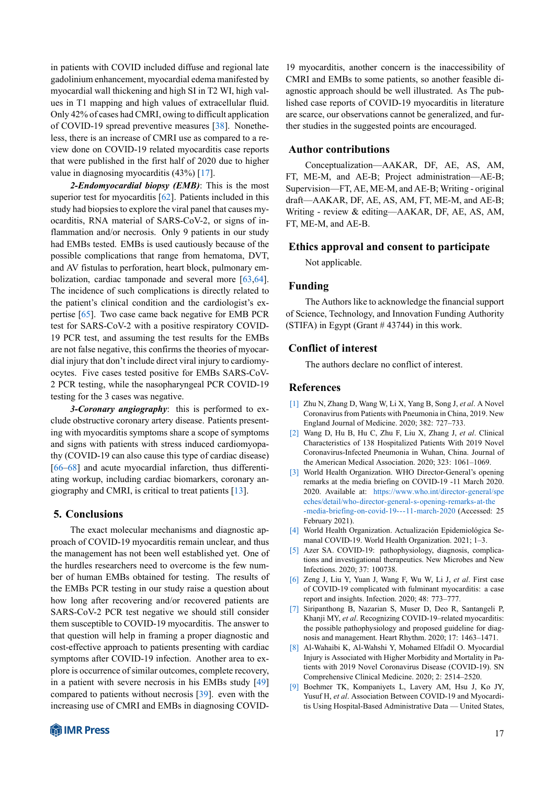in patients with COVID included diffuse and regional late gadolinium enhancement, myocardial edema manifested by myocardial wall thickening and high SI in T2 WI, high values in T1 mapping and high values of extracellular fluid. Only 42% of cases had CMRI, owing to difficult application of COVID-19 spread preventive measures[[38\]](#page-19-35). Nonetheless, there is an increase of CMRI use as compared to a review done on COVID-19 related myocarditis case reports that were published in the first half of 2020 due to higher value in diagnosing myocarditis (43%) [\[17](#page-19-6)].

*2-Endomyocardial biopsy (EMB)*: This is the most superior test for myocarditis [\[62](#page-20-17)]. Patients included in this study had biopsies to explore the viral panel that causes myocarditis, RNA material of SARS-CoV-2, or signs of inflammation and/or necrosis. Only 9 patients in our study had EMBs tested. EMBs is used cautiously because of the possible complications that range from hematoma, DVT, and AV fistulas to perforation, heart block, pulmonary embolization, cardiac tamponade and several more [\[63](#page-20-18),[64\]](#page-20-19). The incidence of such complications is directly related to the patient's clinical condition and the cardiologist's expertise [\[65](#page-20-20)]. Two case came back negative for EMB PCR test for SARS-CoV-2 with a positive respiratory COVID-19 PCR test, and assuming the test results for the EMBs are not false negative, this confirms the theories of myocardial injury that don't include direct viral injury to cardiomyocytes. Five cases tested positive for EMBs SARS-CoV-2 PCR testing, while the nasopharyngeal PCR COVID-19 testing for the 3 cases was negative.

*3-Coronary angiography*: this is performed to exclude obstructive coronary artery disease. Patients presenting with myocarditis symptoms share a scope of symptoms and signs with patients with stress induced cardiomyopathy (COVID-19 can also cause this type of cardiac disease) [[66–](#page-20-21)[68\]](#page-20-22) and acute myocardial infarction, thus differentiating workup, including cardiac biomarkers, coronary angiography and CMRI, is critical to treat patients [\[13](#page-19-2)].

#### **5. Conclusions**

The exact molecular mechanisms and diagnostic approach of COVID-19 myocarditis remain unclear, and thus the management has not been well established yet. One of the hurdles researchers need to overcome is the few number of human EMBs obtained for testing. The results of the EMBs PCR testing in our study raise a question about how long after recovering and/or recovered patients are SARS-CoV-2 PCR test negative we should still consider them susceptible to COVID-19 myocarditis. The answer to that question will help in framing a proper diagnostic and cost-effective approach to patients presenting with cardiac symptoms after COVID-19 infection. Another area to explore is occurrence of similar outcomes, complete recovery, in a patient with severe necrosis in his EMBs study [\[49](#page-20-23)] compared to patients without necrosis[[39\]](#page-19-36). even with the increasing use of CMRI and EMBs in diagnosing COVID-



19 myocarditis, another concern is the inaccessibility of CMRI and EMBs to some patients, so another feasible diagnostic approach should be well illustrated. As The published case reports of COVID-19 myocarditis in literature are scarce, our observations cannot be generalized, and further studies in the suggested points are encouraged.

#### **Author contributions**

Conceptualization—AAKAR, DF, AE, AS, AM, FT, ME-M, and AE-B; Project administration—AE-B; Supervision—FT, AE, ME-M, and AE-B; Writing - original draft—AAKAR, DF, AE, AS, AM, FT, ME-M, and AE-B; Writing - review & editing—AAKAR, DF, AE, AS, AM, FT, ME-M, and AE-B.

#### **Ethics approval and consent to participate**

Not applicable.

#### **Funding**

<span id="page-18-9"></span>The Authors like to acknowledge the financial support of Science, Technology, and Innovation Funding Authority (STIFA) in Egypt (Grant # 43744) in this work.

#### **Conflict of interest**

The authors declare no conflict of interest.

#### **References**

- <span id="page-18-0"></span>[1] Zhu N, Zhang D, Wang W, Li X, Yang B, Song J, *et al*. A Novel Coronavirus from Patients with Pneumonia in China, 2019. New England Journal of Medicine. 2020; 382: 727–733.
- <span id="page-18-1"></span>[2] Wang D, Hu B, Hu C, Zhu F, Liu X, Zhang J, *et al*. Clinical Characteristics of 138 Hospitalized Patients With 2019 Novel Coronavirus-Infected Pneumonia in Wuhan, China. Journal of the American Medical Association. 2020; 323: 1061–1069.
- <span id="page-18-2"></span>[3] World Health Organization. WHO Director-General's opening remarks at the media briefing on COVID-19 -11 March 2020. 2020. Available at: [https://www.who.int/director-general/spe](https://www.who.int/director-general/speeches/detail/who-director-general-s-opening-remarks-at-the-media-briefing-on-covid-19---11-march-2020) [eches/detail/who-director-general-s-opening-remarks-at-the](https://www.who.int/director-general/speeches/detail/who-director-general-s-opening-remarks-at-the-media-briefing-on-covid-19---11-march-2020) [-media-briefing-on-covid-19---11-march-2020](https://www.who.int/director-general/speeches/detail/who-director-general-s-opening-remarks-at-the-media-briefing-on-covid-19---11-march-2020) (Accessed: 25 February 2021).
- <span id="page-18-3"></span>[4] World Health Organization. Actualización Epidemiológica Semanal COVID-19. World Health Organization. 2021; 1–3.
- <span id="page-18-4"></span>[5] Azer SA. COVID-19: pathophysiology, diagnosis, complications and investigational therapeutics. New Microbes and New Infections. 2020; 37: 100738.
- <span id="page-18-5"></span>[6] Zeng J, Liu Y, Yuan J, Wang F, Wu W, Li J, *et al*. First case of COVID-19 complicated with fulminant myocarditis: a case report and insights. Infection. 2020; 48: 773–777.
- <span id="page-18-6"></span>[7] Siripanthong B, Nazarian S, Muser D, Deo R, Santangeli P, Khanji MY, *et al*. Recognizing COVID-19–related myocarditis: the possible pathophysiology and proposed guideline for diagnosis and management. Heart Rhythm. 2020; 17: 1463–1471.
- <span id="page-18-7"></span>[8] Al-Wahaibi K, Al-Wahshi Y, Mohamed Elfadil O. Myocardial Injury is Associated with Higher Morbidity and Mortality in Patients with 2019 Novel Coronavirus Disease (COVID-19). SN Comprehensive Clinical Medicine. 2020; 2: 2514–2520.
- <span id="page-18-8"></span>[9] Boehmer TK, Kompaniyets L, Lavery AM, Hsu J, Ko JY, Yusuf H, *et al*. Association Between COVID-19 and Myocarditis Using Hospital-Based Administrative Data — United States,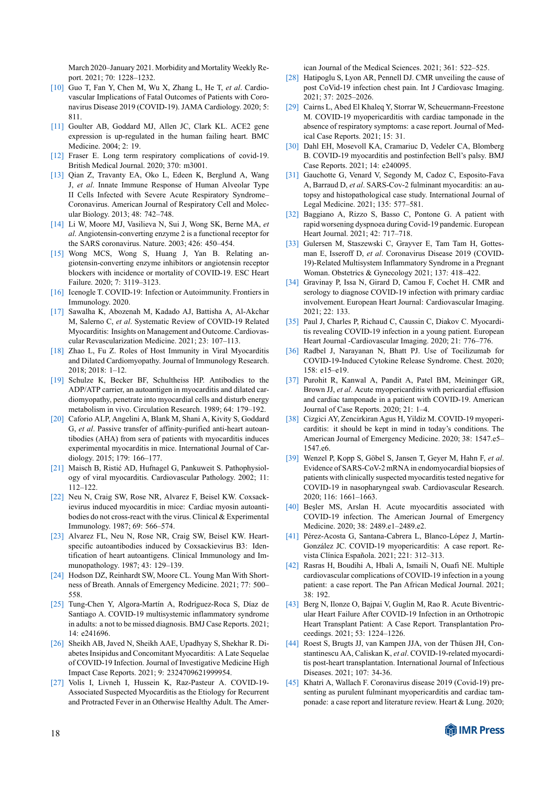<span id="page-19-25"></span><span id="page-19-24"></span>March 2020–January 2021. Morbidity and Mortality Weekly Report. 2021; 70: 1228–1232.

- <span id="page-19-0"></span>[10] Guo T, Fan Y, Chen M, Wu X, Zhang L, He T, *et al*. Cardiovascular Implications of Fatal Outcomes of Patients with Coronavirus Disease 2019 (COVID-19). JAMA Cardiology. 2020; 5: 811.
- <span id="page-19-1"></span>[11] Goulter AB, Goddard MJ, Allen JC, Clark KL. ACE2 gene expression is up-regulated in the human failing heart. BMC Medicine. 2004; 2: 19.
- [12] Fraser E. Long term respiratory complications of covid-19. British Medical Journal. 2020; 370: m3001.
- <span id="page-19-2"></span>[13] Qian Z, Travanty EA, Oko L, Edeen K, Berglund A, Wang J, *et al*. Innate Immune Response of Human Alveolar Type II Cells Infected with Severe Acute Respiratory Syndrome– Coronavirus. American Journal of Respiratory Cell and Molecular Biology. 2013; 48: 742–748.
- <span id="page-19-3"></span>[14] Li W, Moore MJ, Vasilieva N, Sui J, Wong SK, Berne MA, *et al*. Angiotensin-converting enzyme 2 is a functional receptor for the SARS coronavirus. Nature. 2003; 426: 450–454.
- <span id="page-19-4"></span>[15] Wong MCS, Wong S, Huang J, Yan B. Relating angiotensin‐converting enzyme inhibitors or angiotensin receptor blockers with incidence or mortality of COVID‐19. ESC Heart Failure. 2020; 7: 3119–3123.
- <span id="page-19-22"></span><span id="page-19-17"></span><span id="page-19-5"></span>[16] Icenogle T. COVID-19: Infection or Autoimmunity. Frontiers in Immunology. 2020.
- <span id="page-19-6"></span>[17] Sawalha K, Abozenah M, Kadado AJ, Battisha A, Al-Akchar M, Salerno C, *et al*. Systematic Review of COVID-19 Related Myocarditis: Insights on Management and Outcome. Cardiovascular Revascularization Medicine. 2021; 23: 107–113.
- <span id="page-19-7"></span>[18] Zhao L, Fu Z. Roles of Host Immunity in Viral Myocarditis and Dilated Cardiomyopathy. Journal of Immunology Research. 2018; 2018: 1–12.
- [19] Schulze K, Becker BF, Schultheiss HP. Antibodies to the ADP/ATP carrier, an autoantigen in myocarditis and dilated cardiomyopathy, penetrate into myocardial cells and disturb energy metabolism in vivo. Circulation Research. 1989; 64: 179–192.
- <span id="page-19-34"></span>[20] Caforio ALP, Angelini A, Blank M, Shani A, Kivity S, Goddard G, *et al*. Passive transfer of affinity-purified anti-heart autoantibodies (AHA) from sera of patients with myocarditis induces experimental myocarditis in mice. International Journal of Cardiology. 2015; 179: 166–177.
- [21] Maisch B, Ristić AD, Hufnagel G, Pankuweit S. Pathophysiology of viral myocarditis. Cardiovascular Pathology. 2002; 11: 112–122.
- [22] Neu N, Craig SW, Rose NR, Alvarez F, Beisel KW. Coxsackievirus induced myocarditis in mice: Cardiac myosin autoantibodies do not cross-react with the virus. Clinical & Experimental Immunology. 1987; 69: 566–574.
- <span id="page-19-8"></span>[23] Alvarez FL, Neu N, Rose NR, Craig SW, Beisel KW. Heartspecific autoantibodies induced by Coxsackievirus B3: Identification of heart autoantigens. Clinical Immunology and Immunopathology. 1987; 43: 129–139.
- <span id="page-19-9"></span>[24] Hodson DZ, Reinhardt SW, Moore CL. Young Man With Shortness of Breath. Annals of Emergency Medicine. 2021; 77: 500– 558.
- [25] Tung-Chen Y, Algora-Martín A, Rodríguez-Roca S, Díaz de Santiago A. COVID-19 multisystemic inflammatory syndrome in adults: a not to be missed diagnosis. BMJ Case Reports. 2021; 14: e241696.
- [26] Sheikh AB, Javed N, Sheikh AAE, Upadhyay S, Shekhar R. Diabetes Insipidus and Concomitant Myocarditis: A Late Sequelae of COVID-19 Infection. Journal of Investigative Medicine High Impact Case Reports. 2021; 9: 2324709621999954.
- [27] Volis I, Livneh I, Hussein K, Raz-Pasteur A. COVID-19- Associated Suspected Myocarditis as the Etiology for Recurrent and Protracted Fever in an Otherwise Healthy Adult. The Amer-

ican Journal of the Medical Sciences. 2021; 361: 522–525.

- <span id="page-19-23"></span><span id="page-19-20"></span>[28] Hatipoglu S, Lyon AR, Pennell DJ. CMR unveiling the cause of post CoVid-19 infection chest pain. Int J Cardiovasc Imaging. 2021; 37: 2025–2026.
- [29] Cairns L, Abed El Khaleq Y, Storrar W, Scheuermann-Freestone M. COVID-19 myopericarditis with cardiac tamponade in the absence of respiratory symptoms: a case report. Journal of Medical Case Reports. 2021; 15: 31.
- [30] Dahl EH, Mosevoll KA, Cramariuc D, Vedeler CA, Blomberg B. COVID-19 myocarditis and postinfection Bell's palsy. BMJ Case Reports. 2021; 14: e240095.
- [31] Gauchotte G, Venard V, Segondy M, Cadoz C, Esposito-Fava A, Barraud D, *et al*. SARS-Cov-2 fulminant myocarditis: an autopsy and histopathological case study. International Journal of Legal Medicine. 2021; 135: 577–581.
- [32] Baggiano A, Rizzo S, Basso C, Pontone G. A patient with rapid worsening dyspnoea during Covid-19 pandemic. European Heart Journal. 2021; 42: 717–718.
- [33] Gulersen M, Staszewski C, Grayver E, Tam Tam H, Gottesman E, Isseroff D, *et al*. Coronavirus Disease 2019 (COVID-19)-Related Multisystem Inflammatory Syndrome in a Pregnant Woman. Obstetrics & Gynecology 2021; 137: 418–422.
- <span id="page-19-32"></span><span id="page-19-31"></span><span id="page-19-30"></span><span id="page-19-29"></span><span id="page-19-28"></span><span id="page-19-27"></span><span id="page-19-26"></span><span id="page-19-21"></span><span id="page-19-19"></span><span id="page-19-18"></span><span id="page-19-16"></span><span id="page-19-15"></span><span id="page-19-14"></span><span id="page-19-13"></span><span id="page-19-12"></span><span id="page-19-11"></span>[34] Gravinay P, Issa N, Girard D, Camou F, Cochet H. CMR and serology to diagnose COVID-19 infection with primary cardiac involvement. European Heart Journal: Cardiovascular Imaging. 2021; 22: 133.
- [35] Paul J, Charles P, Richaud C, Caussin C, Diakov C. Myocarditis revealing COVID-19 infection in a young patient. European Heart Journal -Cardiovascular Imaging. 2020; 21: 776–776.
- [36] Radbel J, Narayanan N, Bhatt PJ. Use of Tocilizumab for COVID-19-Induced Cytokine Release Syndrome. Chest. 2020; 158: e15–e19.
- [37] Purohit R, Kanwal A, Pandit A, Patel BM, Meininger GR, Brown JJ, *et al*. Acute myopericarditis with pericardial effusion and cardiac tamponade in a patient with COVID-19. American Journal of Case Reports. 2020; 21: 1–4.
- <span id="page-19-35"></span>[38] Cizgici AY, Zencirkiran Agus H, Yildiz M. COVID-19 myopericarditis: it should be kept in mind in today's conditions. The American Journal of Emergency Medicine. 2020; 38: 1547.e5– 1547.e6.
- <span id="page-19-36"></span>[39] Wenzel P, Kopp S, Göbel S, Jansen T, Geyer M, Hahn F, *et al*. Evidence of SARS-CoV-2 mRNA in endomyocardial biopsies of patients with clinically suspected myocarditis tested negative for COVID-19 in nasopharyngeal swab. Cardiovascular Research. 2020; 116: 1661–1663.
- <span id="page-19-10"></span>[40] Beşler MS, Arslan H. Acute myocarditis associated with COVID-19 infection. The American Journal of Emergency Medicine. 2020; 38: 2489.e1–2489.e2.
- [41] Pérez-Acosta G, Santana-Cabrera L, Blanco-López J, Martín-González JC. COVID-19 myopericarditis: A case report. Revista Clínica Española. 2021; 221: 312–313.
- [42] Rasras H, Boudihi A, Hbali A, Ismaili N, Ouafi NE. Multiple cardiovascular complications of COVID-19 infection in a young patient: a case report. The Pan African Medical Journal. 2021; 38: 192.
- [43] Berg N, Ilonze O, Bajpai V, Guglin M, Rao R. Acute Biventricular Heart Failure After COVID-19 Infection in an Orthotropic Heart Transplant Patient: A Case Report. Transplantation Proceedings. 2021; 53: 1224–1226.
- [44] Roest S, Brugts JJ, van Kampen JJA, von der Thüsen JH, Constantinescu AA, Caliskan K, *et al*. COVID-19-related myocarditis post-heart transplantation. International Journal of Infectious Diseases. 2021; 107: 34-36.
- <span id="page-19-33"></span>[45] Khatri A, Wallach F. Coronavirus disease 2019 (Covid-19) presenting as purulent fulminant myopericarditis and cardiac tamponade: a case report and literature review. Heart & Lung. 2020;